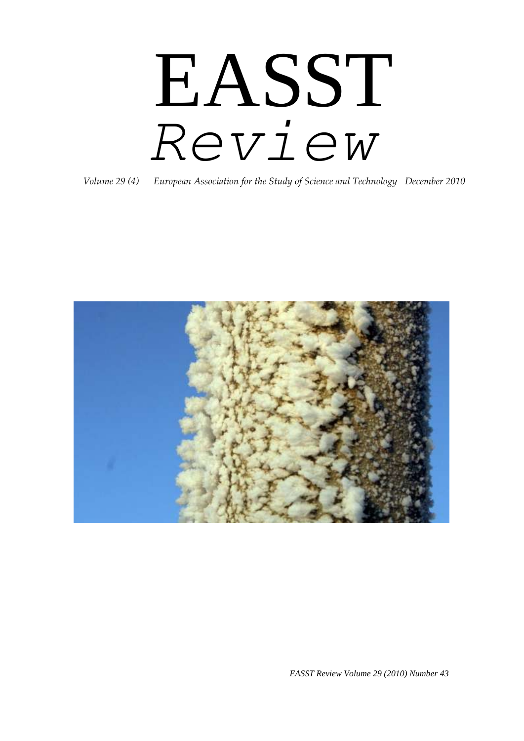# EASST *Review*

*Volume 29 (4) European Association for the Study of Science and Technology December 2010*



*EASST Review Volume 29 (2010) Number 43*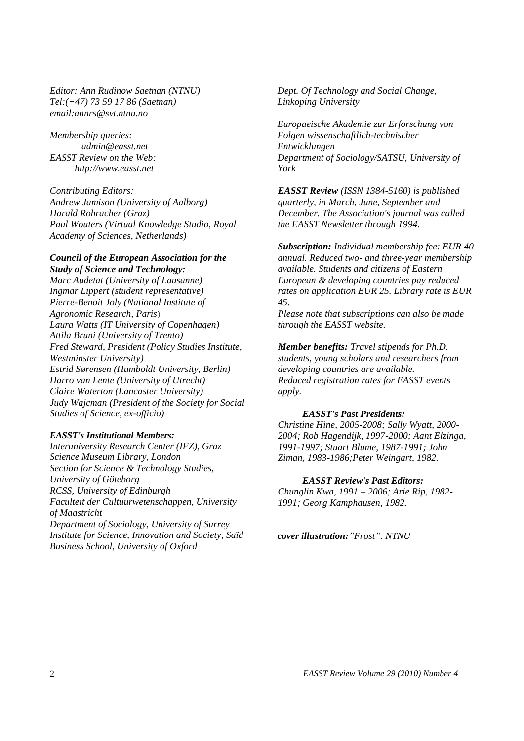*Editor: Ann Rudinow Saetnan (NTNU) Tel:(+47) 73 59 17 86 (Saetnan) email:annrs@svt.ntnu.no* 

*Membership queries: admin@easst.net EASST Review on the Web: http://www.easst.net*

*Contributing Editors: Andrew Jamison (University of Aalborg) Harald Rohracher (Graz) Paul Wouters (Virtual Knowledge Studio, Royal Academy of Sciences, Netherlands)* 

#### *Council of the European Association for the Study of Science and Technology:*

*Marc Audetat (University of Lausanne) Ingmar Lippert (student representative) Pierre-Benoit Joly (National Institute of Agronomic Research, Paris*) *Laura Watts (IT University of Copenhagen) Attila Bruni (University of Trento) Fred Steward, President (Policy Studies Institute, Westminster University) Estrid Sørensen (Humboldt University, Berlin) Harro van Lente (University of Utrecht) Claire Waterton (Lancaster University) Judy Wajcman (President of the Society for Social Studies of Science, ex-officio)* 

#### *EASST's Institutional Members:*

*Interuniversity Research Center (IFZ), Graz Science Museum Library, London Section for Science & Technology Studies, University of Göteborg RCSS, University of Edinburgh Faculteit der Cultuurwetenschappen, University of Maastricht Department of Sociology, University of Surrey Institute for Science, Innovation and Society, Saïd Business School, University of Oxford*

*Dept. Of Technology and Social Change, Linkoping University*

*Europaeische Akademie zur Erforschung von Folgen wissenschaftlich-technischer Entwicklungen Department of Sociology/SATSU, University of York*

*EASST Review (ISSN 1384-5160) is published quarterly, in March, June, September and December. The Association's journal was called the EASST Newsletter through 1994.* 

*Subscription: Individual membership fee: EUR 40 annual. Reduced two- and three-year membership available. Students and citizens of Eastern European & developing countries pay reduced rates on application EUR 25. Library rate is EUR 45.* 

*Please note that subscriptions can also be made through the EASST website.* 

*Member benefits: Travel stipends for Ph.D. students, young scholars and researchers from developing countries are available. Reduced registration rates for EASST events apply.* 

#### *EASST's Past Presidents:*

*Christine Hine, 2005-2008; Sally Wyatt, 2000- 2004; Rob Hagendijk, 1997-2000; Aant Elzinga, 1991-1997; Stuart Blume, 1987-1991; John Ziman, 1983-1986;Peter Weingart, 1982.* 

#### *EASST Review's Past Editors:*

*Chunglin Kwa, 1991 – 2006; Arie Rip, 1982- 1991; Georg Kamphausen, 1982.*

*cover illustration:"Frost". NTNU*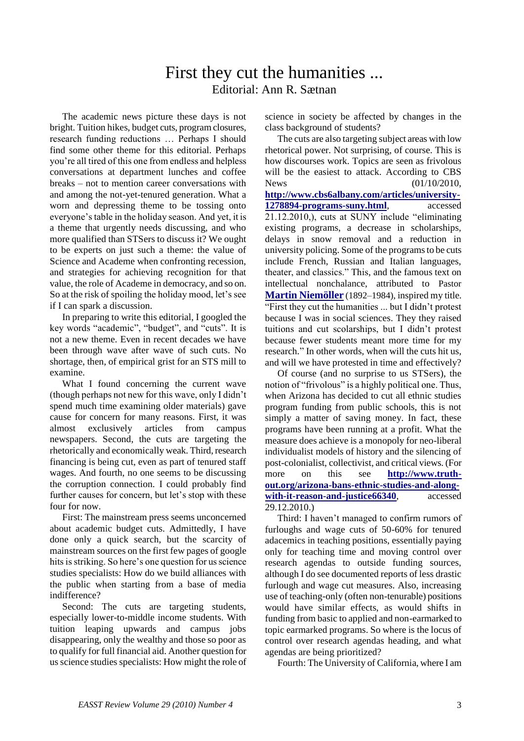## First they cut the humanities ... Editorial: Ann R. Sætnan

The academic news picture these days is not bright. Tuition hikes, budget cuts, program closures, research funding reductions … Perhaps I should find some other theme for this editorial. Perhaps you"re all tired of this one from endless and helpless conversations at department lunches and coffee breaks – not to mention career conversations with and among the not-yet-tenured generation. What a worn and depressing theme to be tossing onto everyone"s table in the holiday season. And yet, it is a theme that urgently needs discussing, and who more qualified than STSers to discuss it? We ought to be experts on just such a theme: the value of Science and Academe when confronting recession, and strategies for achieving recognition for that value, the role of Academe in democracy, and so on. So at the risk of spoiling the holiday mood, let's see if I can spark a discussion.

In preparing to write this editorial, I googled the key words "academic", "budget", and "cuts". It is not a new theme. Even in recent decades we have been through wave after wave of such cuts. No shortage, then, of empirical grist for an STS mill to examine.

What I found concerning the current wave (though perhaps not new for this wave, only I didn"t spend much time examining older materials) gave cause for concern for many reasons. First, it was almost exclusively articles from campus newspapers. Second, the cuts are targeting the rhetorically and economically weak. Third, research financing is being cut, even as part of tenured staff wages. And fourth, no one seems to be discussing the corruption connection. I could probably find further causes for concern, but let's stop with these four for now.

First: The mainstream press seems unconcerned about academic budget cuts. Admittedly, I have done only a quick search, but the scarcity of mainstream sources on the first few pages of google hits is striking. So here's one question for us science studies specialists: How do we build alliances with the public when starting from a base of media indifference?

Second: The cuts are targeting students, especially lower-to-middle income students. With tuition leaping upwards and campus jobs disappearing, only the wealthy and those so poor as to qualify for full financial aid. Another question for us science studies specialists: How might the role of

science in society be affected by changes in the class background of students?

The cuts are also targeting subject areas with low rhetorical power. Not surprising, of course. This is how discourses work. Topics are seen as frivolous will be the easiest to attack. According to CBS News (01/10/2010, **[http://www.cbs6albany.com/articles/university-](http://www.cbs6albany.com/articles/university-1278894-programs-suny.html)[1278894-programs-suny.html](http://www.cbs6albany.com/articles/university-1278894-programs-suny.html)**, accessed 21.12.2010,), cuts at SUNY include "eliminating existing programs, a decrease in scholarships, delays in snow removal and a reduction in university policing. Some of the programs to be cuts include French, Russian and Italian languages, theater, and classics." This, and the famous text on intellectual nonchalance, attributed to Pastor **[Martin Niemöller](http://en.wikipedia.org/wiki/Martin_Niem%C3%B6ller)** (1892–1984), inspired my title. "First they cut the humanities ... but I didn"t protest because I was in social sciences. They they raised tuitions and cut scolarships, but I didn"t protest because fewer students meant more time for my research." In other words, when will the cuts hit us, and will we have protested in time and effectively?

Of course (and no surprise to us STSers), the notion of "frivolous" is a highly political one. Thus, when Arizona has decided to cut all ethnic studies program funding from public schools, this is not simply a matter of saving money. In fact, these programs have been running at a profit. What the measure does achieve is a monopoly for neo-liberal individualist models of history and the silencing of post-colonialist, collectivist, and critical views. (For more on this see **[http://www.truth](http://www.truth-out.org/arizona-bans-ethnic-studies-and-along-with-it-reason-and-justice66340)[out.org/arizona-bans-ethnic-studies-and-along](http://www.truth-out.org/arizona-bans-ethnic-studies-and-along-with-it-reason-and-justice66340)**[with-it-reason-and-justice66340](http://www.truth-out.org/arizona-bans-ethnic-studies-and-along-with-it-reason-and-justice66340), accessed 29.12.2010.)

Third: I haven"t managed to confirm rumors of furloughs and wage cuts of 50-60% for tenured adacemics in teaching positions, essentially paying only for teaching time and moving control over research agendas to outside funding sources, although I do see documented reports of less drastic furlough and wage cut measures. Also, increasing use of teaching-only (often non-tenurable) positions would have similar effects, as would shifts in funding from basic to applied and non-earmarked to topic earmarked programs. So where is the locus of control over research agendas heading, and what agendas are being prioritized?

Fourth: The University of California, where I am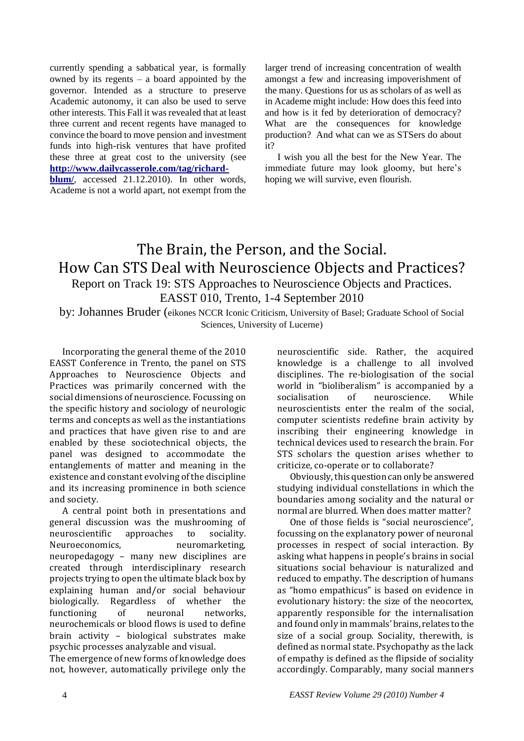currently spending a sabbatical year, is formally owned by its regents – a board appointed by the governor. Intended as a structure to preserve Academic autonomy, it can also be used to serve other interests. This Fall it was revealed that at least three current and recent regents have managed to convince the board to move pension and investment funds into high-risk ventures that have profited these three at great cost to the university (see **[http://www.dailycasserole.com/tag/richard](http://www.dailycasserole.com/tag/richard-blum/)[blum/](http://www.dailycasserole.com/tag/richard-blum/)**, accessed 21.12.2010). In other words, Academe is not a world apart, not exempt from the larger trend of increasing concentration of wealth amongst a few and increasing impoverishment of the many. Questions for us as scholars of as well as in Academe might include: How does this feed into and how is it fed by deterioration of democracy? What are the consequences for knowledge production? And what can we as STSers do about it?

I wish you all the best for the New Year. The immediate future may look gloomy, but here's hoping we will survive, even flourish.

## The Brain, the Person, and the Social. How Can STS Deal with Neuroscience Objects and Practices? Report on Track 19: STS Approaches to Neuroscience Objects and Practices.

EASST 010, Trento, 1-4 September 2010

by: Johannes Bruder (eikones NCCR Iconic Criticism, University of Basel; Graduate School of Social Sciences, University of Lucerne)

Incorporating the general theme of the 2010 EASST Conference in Trento, the panel on STS Approaches to Neuroscience Objects and Practices was primarily concerned with the social dimensions of neuroscience. Focussing on the specific history and sociology of neurologic terms and concepts as well as the instantiations and practices that have given rise to and are enabled by these sociotechnical objects, the panel was designed to accommodate the entanglements of matter and meaning in the existence and constant evolving of the discipline and its increasing prominence in both science and society.

A central point both in presentations and general discussion was the mushrooming of neuroscientific approaches to sociality. Neuroeconomics, neuromarketing, neuropedagogy – many new disciplines are created through interdisciplinary research projects trying to open the ultimate black box by explaining human and/or social behaviour biologically. Regardless of whether the functioning of neuronal networks, neurochemicals or blood flows is used to define brain activity – biological substrates make psychic processes analyzable and visual.

The emergence of new forms of knowledge does not, however, automatically privilege only the

neuroscientific side. Rather, the acquired knowledge is a challenge to all involved disciplines. The re-biologisation of the social world in "bioliberalism" is accompanied by a socialisation of neuroscience. While neuroscientists enter the realm of the social, computer scientists redefine brain activity by inscribing their engineering knowledge in technical devices used to research the brain. For STS scholars the question arises whether to criticize, co-operate or to collaborate?

Obviously, this question can only be answered studying individual constellations in which the boundaries among sociality and the natural or normal are blurred. When does matter matter?

One of those fields is "social neuroscience", focussing on the explanatory power of neuronal processes in respect of social interaction. By asking what happens in people's brains in social situations social behaviour is naturalized and reduced to empathy. The description of humans as "homo empathicus" is based on evidence in evolutionary history: the size of the neocortex, apparently responsible for the internalisation and found only in mammals' brains, relates to the size of a social group. Sociality, therewith, is defined as normal state. Psychopathy as the lack of empathy is defined as the flipside of sociality accordingly. Comparably, many social manners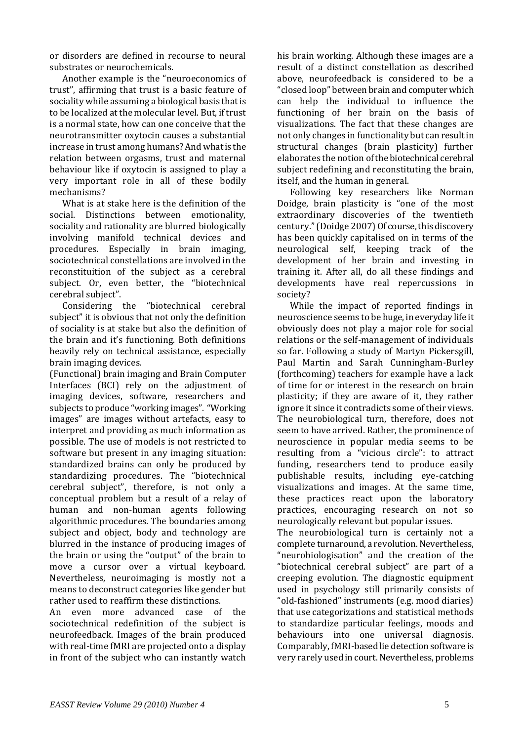or disorders are defined in recourse to neural substrates or neurochemicals.

Another example is the "neuroeconomics of trust", affirming that trust is a basic feature of sociality while assuming a biological basis that is to be localized at the molecular level. But, if trust is a normal state, how can one conceive that the neurotransmitter oxytocin causes a substantial increase in trust among humans? And what is the relation between orgasms, trust and maternal behaviour like if oxytocin is assigned to play a very important role in all of these bodily mechanisms?

What is at stake here is the definition of the social. Distinctions between emotionality, sociality and rationality are blurred biologically involving manifold technical devices and procedures. Especially in brain imaging, sociotechnical constellations are involved in the reconstituition of the subject as a cerebral subject. Or, even better, the "biotechnical cerebral subject".

Considering the "biotechnical cerebral subject" it is obvious that not only the definition of sociality is at stake but also the definition of the brain and it's functioning. Both definitions heavily rely on technical assistance, especially brain imaging devices.

(Functional) brain imaging and Brain Computer Interfaces (BCI) rely on the adjustment of imaging devices, software, researchers and subjects to produce "working images". "Working images" are images without artefacts, easy to interpret and providing as much information as possible. The use of models is not restricted to software but present in any imaging situation: standardized brains can only be produced by standardizing procedures. The "biotechnical cerebral subject", therefore, is not only a conceptual problem but a result of a relay of human and non-human agents following algorithmic procedures. The boundaries among subject and object, body and technology are blurred in the instance of producing images of the brain or using the "output" of the brain to move a cursor over a virtual keyboard. Nevertheless, neuroimaging is mostly not a means to deconstruct categories like gender but rather used to reaffirm these distinctions.

An even more advanced case of the sociotechnical redefinition of the subject is neurofeedback. Images of the brain produced with real-time fMRI are projected onto a display in front of the subject who can instantly watch

his brain working. Although these images are a result of a distinct constellation as described above, neurofeedback is considered to be a "closed loop" between brain and computer which can help the individual to influence the functioning of her brain on the basis of visualizations. The fact that these changes are not only changes in functionality but can result in structural changes (brain plasticity) further elaborates the notion of the biotechnical cerebral subject redefining and reconstituting the brain, itself, and the human in general.

Following key researchers like Norman Doidge, brain plasticity is "one of the most extraordinary discoveries of the twentieth century." (Doidge 2007) Of course, this discovery has been quickly capitalised on in terms of the neurological self, keeping track of the development of her brain and investing in training it. After all, do all these findings and developments have real repercussions in society?

While the impact of reported findings in neuroscience seems to be huge, in everyday life it obviously does not play a major role for social relations or the self-management of individuals so far. Following a study of Martyn Pickersgill, Paul Martin and Sarah Cunningham-Burley (forthcoming) teachers for example have a lack of time for or interest in the research on brain plasticity; if they are aware of it, they rather ignore it since it contradicts some of their views. The neurobiological turn, therefore, does not seem to have arrived. Rather, the prominence of neuroscience in popular media seems to be resulting from a "vicious circle": to attract funding, researchers tend to produce easily publishable results, including eye-catching visualizations and images. At the same time, these practices react upon the laboratory practices, encouraging research on not so neurologically relevant but popular issues.

The neurobiological turn is certainly not a complete turnaround, a revolution. Nevertheless, "neurobiologisation" and the creation of the "biotechnical cerebral subject" are part of a creeping evolution. The diagnostic equipment used in psychology still primarily consists of "old-fashioned" instruments (e.g. mood diaries) that use categorizations and statistical methods to standardize particular feelings, moods and behaviours into one universal diagnosis. Comparably, fMRI-based lie detection software is very rarely used in court. Nevertheless, problems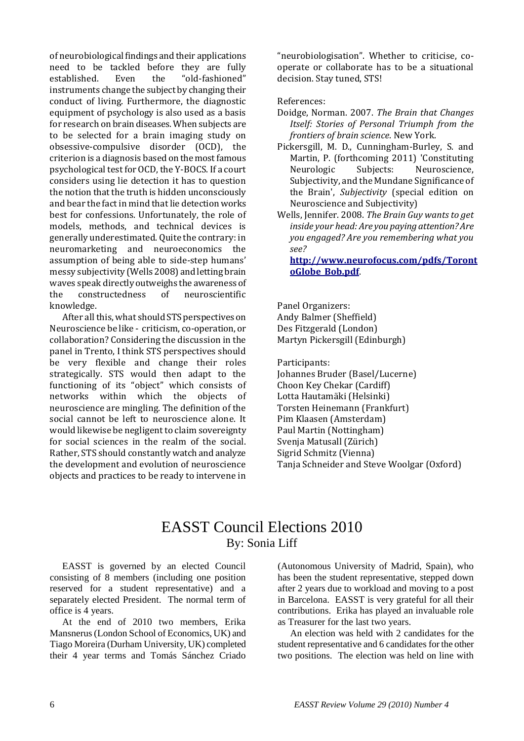of neurobiological findings and their applications need to be tackled before they are fully established. Even the "old-fashioned" instruments change the subject by changing their conduct of living. Furthermore, the diagnostic equipment of psychology is also used as a basis for research on brain diseases. When subjects are to be selected for a brain imaging study on obsessive-compulsive disorder (OCD), the criterion is a diagnosis based on the most famous psychological test for OCD, the Y-BOCS. If a court considers using lie detection it has to question the notion that the truth is hidden unconsciously and bear the fact in mind that lie detection works best for confessions. Unfortunately, the role of models, methods, and technical devices is generally underestimated. Quite the contrary: in neuromarketing and neuroeconomics the assumption of being able to side-step humans' messy subjectivity (Wells 2008) and letting brain waves speak directly outweighs the awareness of the constructedness of neuroscientific knowledge.

After all this, what should STS perspectives on Neuroscience be like - criticism, co-operation, or collaboration? Considering the discussion in the panel in Trento, I think STS perspectives should be very flexible and change their roles strategically. STS would then adapt to the functioning of its "object" which consists of networks within which the objects of neuroscience are mingling. The definition of the social cannot be left to neuroscience alone. It would likewise be negligent to claim sovereignty for social sciences in the realm of the social. Rather, STS should constantly watch and analyze the development and evolution of neuroscience objects and practices to be ready to intervene in

"neurobiologisation". Whether to criticise, cooperate or collaborate has to be a situational decision. Stay tuned, STS!

References:

- Doidge, Norman. 2007. *The Brain that Changes Itself: Stories of Personal Triumph from the frontiers of brain science*. New York.
- Pickersgill, M. D., Cunningham-Burley, S. and Martin, P. (forthcoming 2011) 'Constituting Neurologic Subjects: Neuroscience, Subjectivity, and the Mundane Significance of the Brain', *Subjectivity* (special edition on Neuroscience and Subjectivity)
- Wells, Jennifer. 2008. *The Brain Guy wants to get inside your head: Are you paying attention? Are you engaged? Are you remembering what you see?*

**[http://www.neurofocus.com/pdfs/Toront](http://www.neurofocus.com/pdfs/TorontoGlobe_Bob.pdf) [oGlobe\\_Bob.pdf](http://www.neurofocus.com/pdfs/TorontoGlobe_Bob.pdf)**.

Panel Organizers: Andy Balmer (Sheffield) Des Fitzgerald (London) Martyn Pickersgill (Edinburgh)

Participants: Johannes Bruder (Basel/Lucerne) Choon Key Chekar (Cardiff)

Lotta Hautamäki (Helsinki) Torsten Heinemann (Frankfurt) Pim Klaasen (Amsterdam) Paul Martin (Nottingham) Svenja Matusall (Zürich) Sigrid Schmitz (Vienna) Tanja Schneider and Steve Woolgar (Oxford)

## EASST Council Elections 2010 By: Sonia Liff

EASST is governed by an elected Council consisting of 8 members (including one position reserved for a student representative) and a separately elected President. The normal term of office is 4 years.

At the end of 2010 two members, Erika Mansnerus (London School of Economics, UK) and Tiago Moreira (Durham University, UK) completed their 4 year terms and Tomás Sánchez Criado

(Autonomous University of Madrid, Spain), who has been the student representative, stepped down after 2 years due to workload and moving to a post in Barcelona. EASST is very grateful for all their contributions. Erika has played an invaluable role as Treasurer for the last two years.

An election was held with 2 candidates for the student representative and 6 candidates for the other two positions. The election was held on line with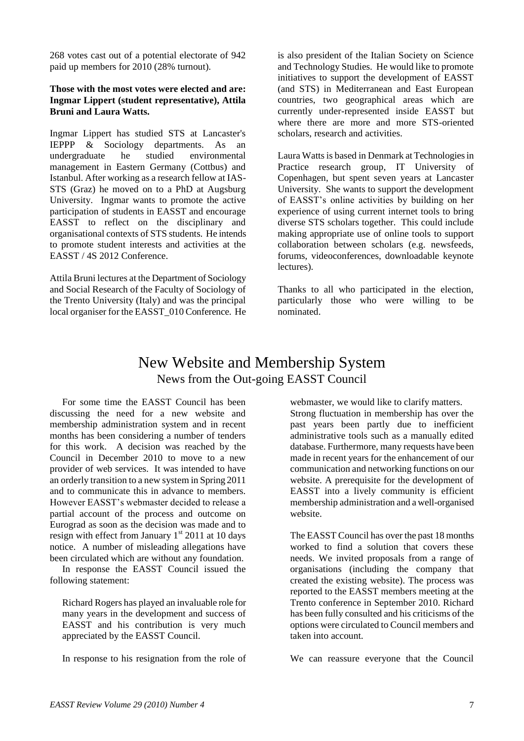268 votes cast out of a potential electorate of 942 paid up members for 2010 (28% turnout).

#### **Those with the most votes were elected and are: Ingmar Lippert (student representative), Attila Bruni and Laura Watts.**

Ingmar Lippert has studied STS at Lancaster's IEPPP & Sociology departments. As an undergraduate he studied environmental management in Eastern Germany (Cottbus) and Istanbul. After working as a research fellow at IAS-STS (Graz) he moved on to a PhD at Augsburg University. Ingmar wants to promote the active participation of students in EASST and encourage EASST to reflect on the disciplinary and organisational contexts of STS students. He intends to promote student interests and activities at the EASST / 4S 2012 Conference.

Attila Bruni lectures at the Department of Sociology and Social Research of the Faculty of Sociology of the Trento University (Italy) and was the principal local organiser for the EASST\_010 Conference. He is also president of the Italian Society on Science and Technology Studies. He would like to promote initiatives to support the development of EASST (and STS) in Mediterranean and East European countries, two geographical areas which are currently under-represented inside EASST but where there are more and more STS-oriented scholars, research and activities.

Laura Watts is based in Denmark at Technologies in Practice research group, IT University of Copenhagen, but spent seven years at Lancaster University. She wants to support the development of EASST"s online activities by building on her experience of using current internet tools to bring diverse STS scholars together. This could include making appropriate use of online tools to support collaboration between scholars (e.g. newsfeeds, forums, videoconferences, downloadable keynote lectures).

Thanks to all who participated in the election, particularly those who were willing to be nominated.

## New Website and Membership System News from the Out-going EASST Council

For some time the EASST Council has been discussing the need for a new website and membership administration system and in recent months has been considering a number of tenders for this work. A decision was reached by the Council in December 2010 to move to a new provider of web services. It was intended to have an orderly transition to a new system in Spring 2011 and to communicate this in advance to members. However EASST"s webmaster decided to release a partial account of the process and outcome on Eurograd as soon as the decision was made and to resign with effect from January  $1<sup>st</sup>$  2011 at 10 days notice. A number of misleading allegations have been circulated which are without any foundation.

In response the EASST Council issued the following statement:

Richard Rogers has played an invaluable role for many years in the development and success of EASST and his contribution is very much appreciated by the EASST Council.

In response to his resignation from the role of

webmaster, we would like to clarify matters. Strong fluctuation in membership has over the past years been partly due to inefficient administrative tools such as a manually edited database. Furthermore, many requests have been made in recent years for the enhancement of our communication and networking functions on our website. A prerequisite for the development of EASST into a lively community is efficient membership administration and a well-organised website.

The EASST Council has over the past 18 months worked to find a solution that covers these needs. We invited proposals from a range of organisations (including the company that created the existing website). The process was reported to the EASST members meeting at the Trento conference in September 2010. Richard has been fully consulted and his criticisms of the options were circulated to Council members and taken into account.

We can reassure everyone that the Council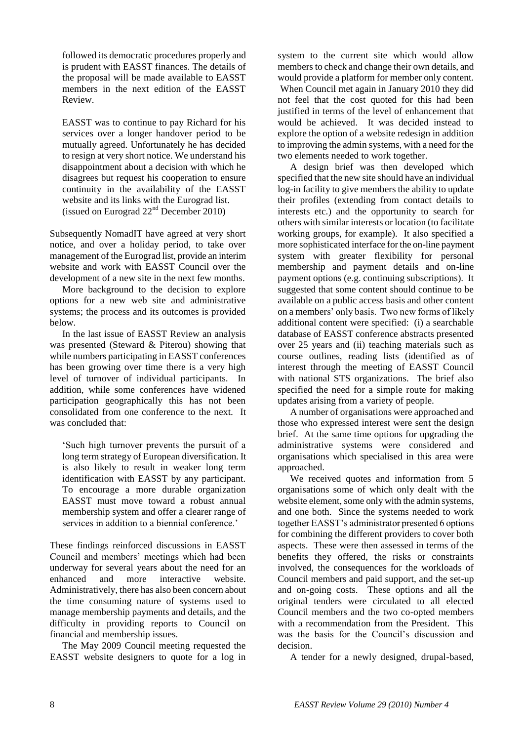followed its democratic procedures properly and is prudent with EASST finances. The details of the proposal will be made available to EASST members in the next edition of the EASST Review.

EASST was to continue to pay Richard for his services over a longer handover period to be mutually agreed. Unfortunately he has decided to resign at very short notice. We understand his disappointment about a decision with which he disagrees but request his cooperation to ensure continuity in the availability of the EASST website and its links with the Eurograd list. (issued on Eurograd  $22<sup>nd</sup>$  December 2010)

Subsequently NomadIT have agreed at very short notice, and over a holiday period, to take over management of the Eurograd list, provide an interim website and work with EASST Council over the development of a new site in the next few months.

More background to the decision to explore options for a new web site and administrative systems; the process and its outcomes is provided below.

In the last issue of EASST Review an analysis was presented (Steward & Piterou) showing that while numbers participating in EASST conferences has been growing over time there is a very high level of turnover of individual participants. In addition, while some conferences have widened participation geographically this has not been consolidated from one conference to the next. It was concluded that:

"Such high turnover prevents the pursuit of a long term strategy of European diversification. It is also likely to result in weaker long term identification with EASST by any participant. To encourage a more durable organization EASST must move toward a robust annual membership system and offer a clearer range of services in addition to a biennial conference.'

These findings reinforced discussions in EASST Council and members' meetings which had been underway for several years about the need for an enhanced and more interactive website. Administratively, there has also been concern about the time consuming nature of systems used to manage membership payments and details, and the difficulty in providing reports to Council on financial and membership issues.

The May 2009 Council meeting requested the EASST website designers to quote for a log in

system to the current site which would allow members to check and change their own details, and would provide a platform for member only content. When Council met again in January 2010 they did not feel that the cost quoted for this had been justified in terms of the level of enhancement that would be achieved. It was decided instead to explore the option of a website redesign in addition to improving the admin systems, with a need for the two elements needed to work together.

A design brief was then developed which specified that the new site should have an individual log-in facility to give members the ability to update their profiles (extending from contact details to interests etc.) and the opportunity to search for others with similar interests or location (to facilitate working groups, for example). It also specified a more sophisticated interface for the on-line payment system with greater flexibility for personal membership and payment details and on-line payment options (e.g. continuing subscriptions). It suggested that some content should continue to be available on a public access basis and other content on a members" only basis. Two new forms of likely additional content were specified: (i) a searchable database of EASST conference abstracts presented over 25 years and (ii) teaching materials such as course outlines, reading lists (identified as of interest through the meeting of EASST Council with national STS organizations. The brief also specified the need for a simple route for making updates arising from a variety of people.

A number of organisations were approached and those who expressed interest were sent the design brief. At the same time options for upgrading the administrative systems were considered and organisations which specialised in this area were approached.

We received quotes and information from 5 organisations some of which only dealt with the website element, some only with the admin systems, and one both. Since the systems needed to work together EASST"s administrator presented 6 options for combining the different providers to cover both aspects. These were then assessed in terms of the benefits they offered, the risks or constraints involved, the consequences for the workloads of Council members and paid support, and the set-up and on-going costs. These options and all the original tenders were circulated to all elected Council members and the two co-opted members with a recommendation from the President. This was the basis for the Council's discussion and decision.

A tender for a newly designed, drupal-based,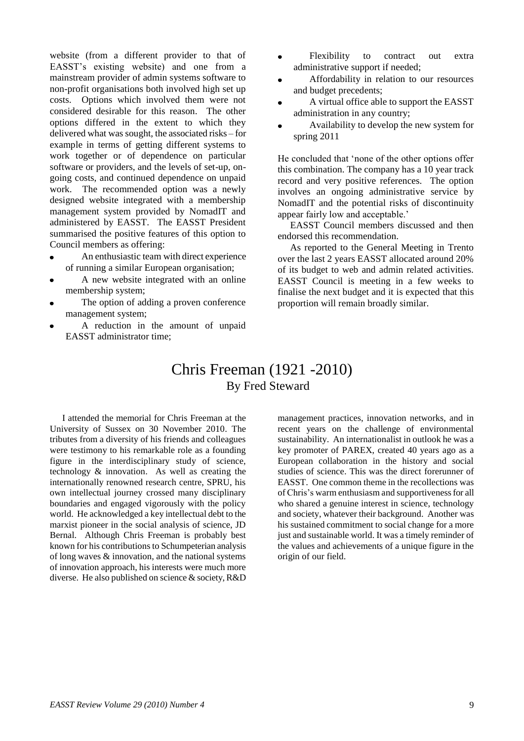website (from a different provider to that of EASST"s existing website) and one from a mainstream provider of admin systems software to non-profit organisations both involved high set up costs. Options which involved them were not considered desirable for this reason. The other options differed in the extent to which they delivered what was sought, the associated risks – for example in terms of getting different systems to work together or of dependence on particular software or providers, and the levels of set-up, ongoing costs, and continued dependence on unpaid work. The recommended option was a newly designed website integrated with a membership management system provided by NomadIT and administered by EASST. The EASST President summarised the positive features of this option to Council members as offering:

- An enthusiastic team with direct experience of running a similar European organisation;
- A new website integrated with an online membership system;
- The option of adding a proven conference management system;
- A reduction in the amount of unpaid EASST administrator time;
- Flexibility to contract out extra administrative support if needed;
- Affordability in relation to our resources and budget precedents;
- A virtual office able to support the EASST administration in any country;
- Availability to develop the new system for spring 2011

He concluded that "none of the other options offer this combination. The company has a 10 year track record and very positive references. The option involves an ongoing administrative service by NomadIT and the potential risks of discontinuity appear fairly low and acceptable."

EASST Council members discussed and then endorsed this recommendation.

As reported to the General Meeting in Trento over the last 2 years EASST allocated around 20% of its budget to web and admin related activities. EASST Council is meeting in a few weeks to finalise the next budget and it is expected that this proportion will remain broadly similar.

#### Chris Freeman (1921 -2010) By Fred Steward

I attended the memorial for Chris Freeman at the University of Sussex on 30 November 2010. The tributes from a diversity of his friends and colleagues were testimony to his remarkable role as a founding figure in the interdisciplinary study of science, technology & innovation. As well as creating the internationally renowned research centre, SPRU, his own intellectual journey crossed many disciplinary boundaries and engaged vigorously with the policy world. He acknowledged a key intellectual debt to the marxist pioneer in the social analysis of science, JD Bernal. Although Chris Freeman is probably best known for his contributions to Schumpeterian analysis of long waves & innovation, and the national systems of innovation approach, his interests were much more diverse. He also published on science & society, R&D

management practices, innovation networks, and in recent years on the challenge of environmental sustainability. An internationalist in outlook he was a key promoter of PAREX, created 40 years ago as a European collaboration in the history and social studies of science. This was the direct forerunner of EASST. One common theme in the recollections was of Chris"s warm enthusiasm and supportiveness for all who shared a genuine interest in science, technology and society, whatever their background. Another was his sustained commitment to social change for a more just and sustainable world. It was a timely reminder of the values and achievements of a unique figure in the origin of our field.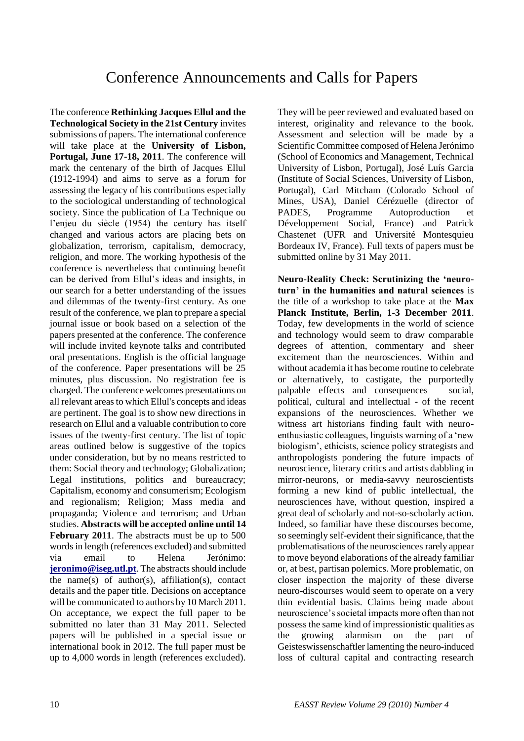The conference **Rethinking Jacques Ellul and the Technological Society in the 21st Century** invites submissions of papers. The international conference will take place at the **University of Lisbon, Portugal, June 17-18, 2011**. The conference will mark the centenary of the birth of Jacques Ellul (1912-1994) and aims to serve as a forum for assessing the legacy of his contributions especially to the sociological understanding of technological society. Since the publication of La Technique ou l'enjeu du siècle (1954) the century has itself changed and various actors are placing bets on globalization, terrorism, capitalism, democracy, religion, and more. The working hypothesis of the conference is nevertheless that continuing benefit can be derived from Ellul"s ideas and insights, in our search for a better understanding of the issues and dilemmas of the twenty-first century. As one result of the conference, we plan to prepare a special journal issue or book based on a selection of the papers presented at the conference. The conference will include invited keynote talks and contributed oral presentations. English is the official language of the conference. Paper presentations will be 25 minutes, plus discussion. No registration fee is charged. The conference welcomes presentations on all relevant areas to which Ellul's concepts and ideas are pertinent. The goal is to show new directions in research on Ellul and a valuable contribution to core issues of the twenty-first century. The list of topic areas outlined below is suggestive of the topics under consideration, but by no means restricted to them: Social theory and technology; Globalization; Legal institutions, politics and bureaucracy; Capitalism, economy and consumerism; Ecologism and regionalism; Religion; Mass media and propaganda; Violence and terrorism; and Urban studies. **Abstracts will be accepted online until 14 February 2011**. The abstracts must be up to 500 words in length (references excluded) and submitted via email to Helena Jerónimo: **[jeronimo@iseg.utl.pt](mailto:jeronimo@iseg.utl.pt)**. The abstracts should include the name(s) of author(s), affiliation(s), contact details and the paper title. Decisions on acceptance will be communicated to authors by 10 March 2011. On acceptance, we expect the full paper to be submitted no later than 31 May 2011. Selected papers will be published in a special issue or international book in 2012. The full paper must be up to 4,000 words in length (references excluded).

They will be peer reviewed and evaluated based on interest, originality and relevance to the book. Assessment and selection will be made by a Scientific Committee composed of Helena Jerónimo (School of Economics and Management, Technical University of Lisbon, Portugal), José Luís Garcia (Institute of Social Sciences, University of Lisbon, Portugal), Carl Mitcham (Colorado School of Mines, USA), Daniel Cérézuelle (director of PADES, Programme Autoproduction et Développement Social, France) and Patrick Chastenet (UFR and Université Montesquieu Bordeaux IV, France). Full texts of papers must be submitted online by 31 May 2011.

**Neuro-Reality Check: Scrutinizing the "neuroturn" in the humanities and natural sciences** is the title of a workshop to take place at the **Max Planck Institute, Berlin, 1-3 December 2011**. Today, few developments in the world of science and technology would seem to draw comparable degrees of attention, commentary and sheer excitement than the neurosciences. Within and without academia it has become routine to celebrate or alternatively, to castigate, the purportedly palpable effects and consequences – social, political, cultural and intellectual - of the recent expansions of the neurosciences. Whether we witness art historians finding fault with neuroenthusiastic colleagues, linguists warning of a "new biologism", ethicists, science policy strategists and anthropologists pondering the future impacts of neuroscience, literary critics and artists dabbling in mirror-neurons, or media-savvy neuroscientists forming a new kind of public intellectual, the neurosciences have, without question, inspired a great deal of scholarly and not-so-scholarly action. Indeed, so familiar have these discourses become, so seemingly self-evident their significance, that the problematisations of the neurosciences rarely appear to move beyond elaborations of the already familiar or, at best, partisan polemics. More problematic, on closer inspection the majority of these diverse neuro-discourses would seem to operate on a very thin evidential basis. Claims being made about neuroscience"s societal impacts more often than not possess the same kind of impressionistic qualities as the growing alarmism on the part of Geisteswissenschaftler lamenting the neuro-induced loss of cultural capital and contracting research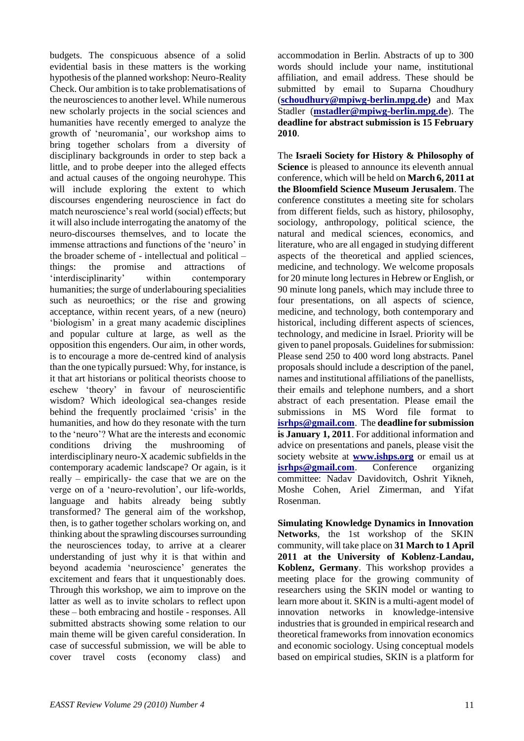budgets. The conspicuous absence of a solid evidential basis in these matters is the working hypothesis of the planned workshop: Neuro-Reality Check. Our ambition is to take problematisations of the neurosciences to another level. While numerous new scholarly projects in the social sciences and humanities have recently emerged to analyze the growth of "neuromania", our workshop aims to bring together scholars from a diversity of disciplinary backgrounds in order to step back a little, and to probe deeper into the alleged effects and actual causes of the ongoing neurohype. This will include exploring the extent to which discourses engendering neuroscience in fact do match neuroscience"s real world (social) effects; but it will also include interrogating the anatomy of the neuro-discourses themselves, and to locate the immense attractions and functions of the 'neuro' in the broader scheme of - intellectual and political – things: the promise and attractions of "interdisciplinarity" within contemporary humanities; the surge of underlabouring specialities such as neuroethics; or the rise and growing acceptance, within recent years, of a new (neuro) "biologism" in a great many academic disciplines and popular culture at large, as well as the opposition this engenders. Our aim, in other words, is to encourage a more de-centred kind of analysis than the one typically pursued: Why, for instance, is it that art historians or political theorists choose to eschew "theory" in favour of neuroscientific wisdom? Which ideological sea-changes reside behind the frequently proclaimed 'crisis' in the humanities, and how do they resonate with the turn to the "neuro"? What are the interests and economic conditions driving the mushrooming of interdisciplinary neuro-X academic subfields in the contemporary academic landscape? Or again, is it really – empirically- the case that we are on the verge on of a "neuro-revolution", our life-worlds, language and habits already being subtly transformed? The general aim of the workshop, then, is to gather together scholars working on, and thinking about the sprawling discourses surrounding the neurosciences today, to arrive at a clearer understanding of just why it is that within and beyond academia "neuroscience" generates the excitement and fears that it unquestionably does. Through this workshop, we aim to improve on the latter as well as to invite scholars to reflect upon these – both embracing and hostile - responses. All submitted abstracts showing some relation to our main theme will be given careful consideration. In case of successful submission, we will be able to cover travel costs (economy class) and

accommodation in Berlin. Abstracts of up to 300 words should include your name, institutional affiliation, and email address. These should be submitted by email to Suparna Choudhury (**[schoudhury@mpiwg-berlin.mpg.de\)](mailto:schoudhury@mpiwg-berlin.mpg.de)** and Max Stadler (**[mstadler@mpiwg-berlin.mpg.de](mailto:mstadler@mpiwg-berlin.mpg.de)**). The **deadline for abstract submission is 15 February 2010**.

The **Israeli Society for History & Philosophy of Science** is pleased to announce its eleventh annual conference, which will be held on **March 6, 2011 at the Bloomfield Science Museum Jerusalem**. The conference constitutes a meeting site for scholars from different fields, such as history, philosophy, sociology, anthropology, political science, the natural and medical sciences, economics, and literature, who are all engaged in studying different aspects of the theoretical and applied sciences, medicine, and technology. We welcome proposals for 20 minute long lectures in Hebrew or English, or 90 minute long panels, which may include three to four presentations, on all aspects of science, medicine, and technology, both contemporary and historical, including different aspects of sciences, technology, and medicine in Israel. Priority will be given to panel proposals. Guidelines for submission: Please send 250 to 400 word long abstracts. Panel proposals should include a description of the panel, names and institutional affiliations of the panellists, their emails and telephone numbers, and a short abstract of each presentation. Please email the submissions in MS Word file format to **[isrhps@gmail.com](mailto:isrhps@gmail.com)**. The **deadline for submission is January 1, 2011**. For additional information and advice on presentations and panels, please visit the society website at **[www.ishps.org](http://www.ishps.org/)** or email us at **[isrhps@gmail.com](mailto:isrhps@gmail.com)**. Conference organizing committee: Nadav Davidovitch, Oshrit Yikneh, Moshe Cohen, Ariel Zimerman, and Yifat Rosenman.

**Simulating Knowledge Dynamics in Innovation Networks**, the 1st workshop of the SKIN community, will take place on **31 March to 1 April 2011 at the University of Koblenz-Landau, Koblenz, Germany**. This workshop provides a meeting place for the growing community of researchers using the SKIN model or wanting to learn more about it. SKIN is a multi-agent model of innovation networks in knowledge-intensive industries that is grounded in empirical research and theoretical frameworks from innovation economics and economic sociology. Using conceptual models based on empirical studies, SKIN is a platform for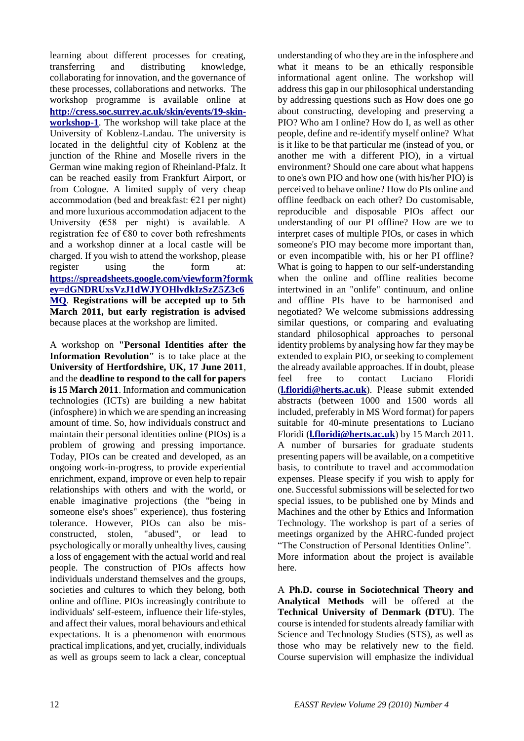learning about different processes for creating, transferring and distributing knowledge, collaborating for innovation, and the governance of these processes, collaborations and networks. The workshop programme is available online at **[http://cress.soc.surrey.ac.uk/skin/events/19-skin](http://cress.soc.surrey.ac.uk/skin/events/19-skin-workshop-1)[workshop-1](http://cress.soc.surrey.ac.uk/skin/events/19-skin-workshop-1)**. The workshop will take place at the University of Koblenz-Landau. The university is located in the delightful city of Koblenz at the junction of the Rhine and Moselle rivers in the German wine making region of Rheinland-Pfalz. It can be reached easily from Frankfurt Airport, or from Cologne. A limited supply of very cheap accommodation (bed and breakfast:  $E21$  per night) and more luxurious accommodation adjacent to the University ( $€58$  per night) is available. A registration fee of €80 to cover both refreshments and a workshop dinner at a local castle will be charged. If you wish to attend the workshop, please register using the form at: **[https://spreadsheets.google.com/viewform?formk](https://spreadsheets.google.com/viewform?formkey=dGNDRUxsVzJ1dWJYOHlvdkIzSzZ5Z3c6MQ) [ey=dGNDRUxsVzJ1dWJYOHlvdkIzSzZ5Z3c6](https://spreadsheets.google.com/viewform?formkey=dGNDRUxsVzJ1dWJYOHlvdkIzSzZ5Z3c6MQ) [MQ](https://spreadsheets.google.com/viewform?formkey=dGNDRUxsVzJ1dWJYOHlvdkIzSzZ5Z3c6MQ)**. **Registrations will be accepted up to 5th March 2011, but early registration is advised** because places at the workshop are limited.

A workshop on **"Personal Identities after the Information Revolution"** is to take place at the **University of Hertfordshire, UK, 17 June 2011**, and the **deadline to respond to the call for papers is 15 March 2011**. Information and communication technologies (ICTs) are building a new habitat (infosphere) in which we are spending an increasing amount of time. So, how individuals construct and maintain their personal identities online (PIOs) is a problem of growing and pressing importance. Today, PIOs can be created and developed, as an ongoing work-in-progress, to provide experiential enrichment, expand, improve or even help to repair relationships with others and with the world, or enable imaginative projections (the "being in someone else's shoes" experience), thus fostering tolerance. However, PIOs can also be misconstructed, stolen, "abused", or lead to psychologically or morally unhealthy lives, causing a loss of engagement with the actual world and real people. The construction of PIOs affects how individuals understand themselves and the groups, societies and cultures to which they belong, both online and offline. PIOs increasingly contribute to individuals' self-esteem, influence their life-styles, and affect their values, moral behaviours and ethical expectations. It is a phenomenon with enormous practical implications, and yet, crucially, individuals as well as groups seem to lack a clear, conceptual

understanding of who they are in the infosphere and what it means to be an ethically responsible informational agent online. The workshop will address this gap in our philosophical understanding by addressing questions such as How does one go about constructing, developing and preserving a PIO? Who am I online? How do I, as well as other people, define and re-identify myself online? What is it like to be that particular me (instead of you, or another me with a different PIO), in a virtual environment? Should one care about what happens to one's own PIO and how one (with his/her PIO) is perceived to behave online? How do PIs online and offline feedback on each other? Do customisable, reproducible and disposable PIOs affect our understanding of our PI offline? How are we to interpret cases of multiple PIOs, or cases in which someone's PIO may become more important than, or even incompatible with, his or her PI offline? What is going to happen to our self-understanding when the online and offline realities become intertwined in an "onlife" continuum, and online and offline PIs have to be harmonised and negotiated? We welcome submissions addressing similar questions, or comparing and evaluating standard philosophical approaches to personal identity problems by analysing how far they may be extended to explain PIO, or seeking to complement the already available approaches. If in doubt, please feel free to contact Luciano Floridi (**[l.floridi@herts.ac.uk](mailto:l.floridi@herts.ac.uk)**). Please submit extended abstracts (between 1000 and 1500 words all included, preferably in MS Word format) for papers suitable for 40-minute presentations to Luciano Floridi (**[l.floridi@herts.ac.uk](mailto:l.floridi@herts.ac.uk)**) by 15 March 2011. A number of bursaries for graduate students presenting papers will be available, on a competitive basis, to contribute to travel and accommodation expenses. Please specify if you wish to apply for one. Successful submissions will be selected for two special issues, to be published one by Minds and Machines and the other by Ethics and Information Technology. The workshop is part of a series of meetings organized by the AHRC-funded project "The Construction of Personal Identities Online". More information about the project is available here.

A **Ph.D. course in Sociotechnical Theory and Analytical Methods** will be offered at the **Technical University of Denmark (DTU)**. The course is intended for students already familiar with Science and Technology Studies (STS), as well as those who may be relatively new to the field. Course supervision will emphasize the individual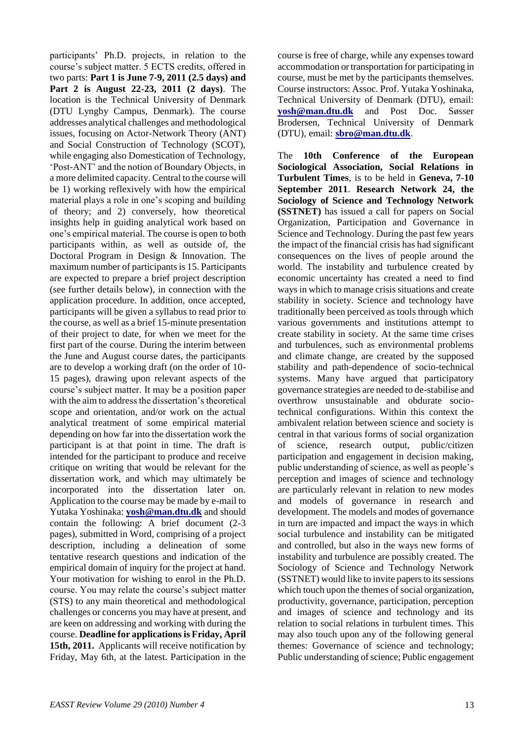participants" Ph.D. projects, in relation to the course"s subject matter. 5 ECTS credits, offered in two parts: **Part 1 is June 7-9, 2011 (2.5 days) and Part 2 is August 22-23, 2011 (2 days)**. The location is the Technical University of Denmark (DTU Lyngby Campus, Denmark). The course addresses analytical challenges and methodological issues, focusing on Actor-Network Theory (ANT) and Social Construction of Technology (SCOT), while engaging also Domestication of Technology, "Post-ANT" and the notion of Boundary Objects, in a more delimited capacity. Central to the course will be 1) working reflexively with how the empirical material plays a role in one"s scoping and building of theory; and 2) conversely, how theoretical insights help in guiding analytical work based on one"s empirical material. The course is open to both participants within, as well as outside of, the Doctoral Program in Design & Innovation. The maximum number of participants is 15. Participants are expected to prepare a brief project description (see further details below), in connection with the application procedure. In addition, once accepted, participants will be given a syllabus to read prior to the course, as well as a brief 15-minute presentation of their project to date, for when we meet for the first part of the course. During the interim between the June and August course dates, the participants are to develop a working draft (on the order of 10- 15 pages), drawing upon relevant aspects of the course"s subject matter. It may be a position paper with the aim to address the dissertation's theoretical scope and orientation, and/or work on the actual analytical treatment of some empirical material depending on how far into the dissertation work the participant is at that point in time. The draft is intended for the participant to produce and receive critique on writing that would be relevant for the dissertation work, and which may ultimately be incorporated into the dissertation later on. Application to the course may be made by e-mail to Yutaka Yoshinaka: **[yosh@man.dtu.dk](mailto:yosh@man.dtu.dk)** and should contain the following: A brief document (2-3 pages), submitted in Word, comprising of a project description, including a delineation of some tentative research questions and indication of the empirical domain of inquiry for the project at hand. Your motivation for wishing to enrol in the Ph.D. course. You may relate the course"s subject matter (STS) to any main theoretical and methodological challenges or concerns you may have at present, and are keen on addressing and working with during the course. **Deadline for applications is Friday, April 15th, 2011.** Applicants will receive notification by Friday, May 6th, at the latest. Participation in the

course is free of charge, while any expenses toward accommodation or transportation for participating in course, must be met by the participants themselves. Course instructors: Assoc. Prof. Yutaka Yoshinaka, Technical University of Denmark (DTU), email: **[yosh@man.dtu.dk](mailto:yosh@man.dtu.dk)** and Post Doc. Søsser Brodersen, Technical University of Denmark (DTU), email: **[sbro@man.dtu.dk](mailto:sbro@man.dtu.dk)**.

The **10th Conference of the European Sociological Association, Social Relations in Turbulent Times**, is to be held in **Geneva, 7-10 September 2011**. **Research Network 24, the Sociology of Science and Technology Network (SSTNET)** has issued a call for papers on Social Organization, Participation and Governance in Science and Technology. During the past few years the impact of the financial crisis has had significant consequences on the lives of people around the world. The instability and turbulence created by economic uncertainty has created a need to find ways in which to manage crisis situations and create stability in society. Science and technology have traditionally been perceived as tools through which various governments and institutions attempt to create stability in society. At the same time crises and turbulences, such as environmental problems and climate change, are created by the supposed stability and path-dependence of socio-technical systems. Many have argued that participatory governance strategies are needed to de-stabilise and overthrow unsustainable and obdurate sociotechnical configurations. Within this context the ambivalent relation between science and society is central in that various forms of social organization of science, research output, public/citizen participation and engagement in decision making, public understanding of science, as well as people"s perception and images of science and technology are particularly relevant in relation to new modes and models of governance in research and development. The models and modes of governance in turn are impacted and impact the ways in which social turbulence and instability can be mitigated and controlled, but also in the ways new forms of instability and turbulence are possibly created. The Sociology of Science and Technology Network (SSTNET) would like to invite papers to its sessions which touch upon the themes of social organization, productivity, governance, participation, perception and images of science and technology and its relation to social relations in turbulent times. This may also touch upon any of the following general themes: Governance of science and technology; Public understanding of science; Public engagement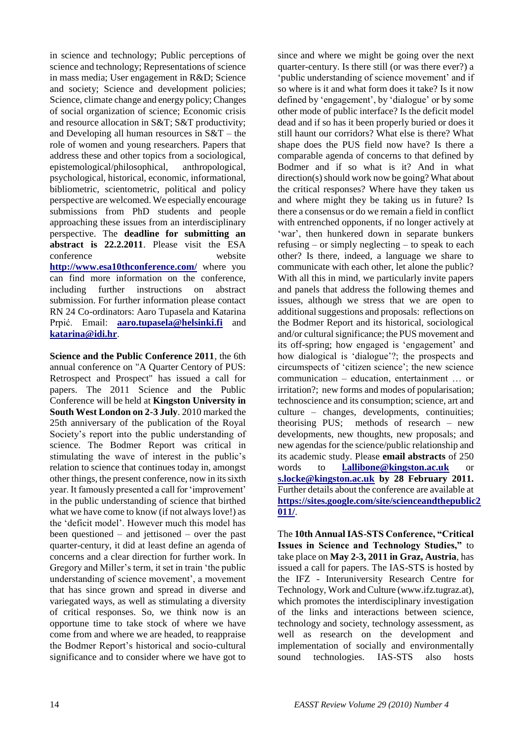in science and technology; Public perceptions of science and technology; Representations of science in mass media; User engagement in R&D; Science and society; Science and development policies; Science, climate change and energy policy; Changes of social organization of science; Economic crisis and resource allocation in S&T; S&T productivity; and Developing all human resources in S&T – the role of women and young researchers. Papers that address these and other topics from a sociological, epistemological/philosophical, anthropological, psychological, historical, economic, informational, bibliometric, scientometric, political and policy perspective are welcomed. We especially encourage submissions from PhD students and people approaching these issues from an interdisciplinary perspective. The **deadline for submitting an abstract is 22.2.2011**. Please visit the ESA conference website **<http://www.esa10thconference.com/>** where you can find more information on the conference, including further instructions on abstract submission. For further information please contact RN 24 Co-ordinators: Aaro Tupasela and Katarina Prpić. Email: **[aaro.tupasela@helsinki.fi](mailto:aaro.tupasela@helsinki.fi)** and **[katarina@idi.hr](mailto:katarina@idi.hr)**.

**Science and the Public Conference 2011**, the 6th annual conference on "A Quarter Centory of PUS: Retrospect and Prospect" has issued a call for papers. The 2011 Science and the Public Conference will be held at **Kingston University in South West London on 2-3 July**. 2010 marked the 25th anniversary of the publication of the Royal Society"s report into the public understanding of science. The Bodmer Report was critical in stimulating the wave of interest in the public"s relation to science that continues today in, amongst other things, the present conference, now in its sixth year. It famously presented a call for "improvement" in the public understanding of science that birthed what we have come to know (if not always love!) as the "deficit model". However much this model has been questioned – and jettisoned – over the past quarter-century, it did at least define an agenda of concerns and a clear direction for further work. In Gregory and Miller"s term, it set in train "the public understanding of science movement', a movement that has since grown and spread in diverse and variegated ways, as well as stimulating a diversity of critical responses. So, we think now is an opportune time to take stock of where we have come from and where we are headed, to reappraise the Bodmer Report"s historical and socio-cultural significance and to consider where we have got to

since and where we might be going over the next quarter-century. Is there still (or was there ever?) a 'public understanding of science movement' and if so where is it and what form does it take? Is it now defined by "engagement", by "dialogue" or by some other mode of public interface? Is the deficit model dead and if so has it been properly buried or does it still haunt our corridors? What else is there? What shape does the PUS field now have? Is there a comparable agenda of concerns to that defined by Bodmer and if so what is it? And in what direction(s) should work now be going? What about the critical responses? Where have they taken us and where might they be taking us in future? Is there a consensus or do we remain a field in conflict with entrenched opponents, if no longer actively at 'war', then hunkered down in separate bunkers refusing – or simply neglecting – to speak to each other? Is there, indeed, a language we share to communicate with each other, let alone the public? With all this in mind, we particularly invite papers and panels that address the following themes and issues, although we stress that we are open to additional suggestions and proposals: reflections on the Bodmer Report and its historical, sociological and/or cultural significance; the PUS movement and its off-spring; how engaged is "engagement" and how dialogical is 'dialogue'?; the prospects and circumspects of "citizen science"; the new science communication – education, entertainment … or irritation?; new forms and modes of popularisation; technoscience and its consumption; science, art and culture – changes, developments, continuities; theorising PUS; methods of research – new developments, new thoughts, new proposals; and new agendas for the science/public relationship and its academic study. Please **email abstracts** of 250 words to **[l.allibone@kingston.ac.uk](mailto:l.allibone@kingston.ac.uk)** or **[s.locke@kingston.ac.uk](mailto:s.locke@kingston.ac.uk) by 28 February 2011.** Further details about the conference are available at **[https://sites.google.com/site/scienceandthepublic2](https://sites.google.com/site/scienceandthepublic2011/) [011/](https://sites.google.com/site/scienceandthepublic2011/)**.

The **10th Annual IAS-STS Conference, "Critical Issues in Science and Technology Studies,"** to take place on **May 2-3, 2011 in Graz, Austria**, has issued a call for papers. The IAS-STS is hosted by the IFZ - Interuniversity Research Centre for Technology, Work and Culture (www.ifz.tugraz.at), which promotes the interdisciplinary investigation of the links and interactions between science, technology and society, technology assessment, as well as research on the development and implementation of socially and environmentally sound technologies. IAS-STS also hosts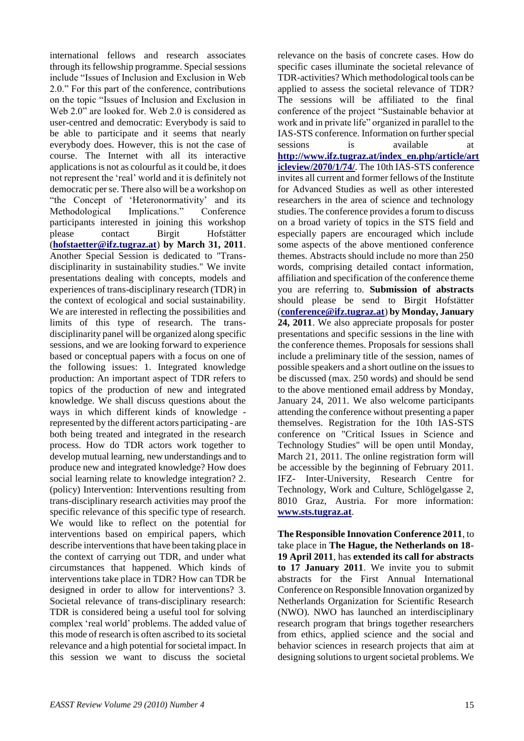international fellows and research associates through its fellowship programme. Special sessions include "Issues of Inclusion and Exclusion in Web 2.0." For this part of the conference, contributions on the topic "Issues of Inclusion and Exclusion in Web 2.0" are looked for. Web 2.0 is considered as user-centred and democratic: Everybody is said to be able to participate and it seems that nearly everybody does. However, this is not the case of course. The Internet with all its interactive applications is not as colourful as it could be, it does not represent the "real" world and it is definitely not democratic per se. There also will be a workshop on "the Concept of "Heteronormativity" and its Methodological Implications." Conference participants interested in joining this workshop please contact Birgit Hofstätter (**[hofstaetter@ifz.tugraz.at](mailto:hofstaetter@ifz.tugraz.at)**) **by March 31, 2011**. Another Special Session is dedicated to "Transdisciplinarity in sustainability studies." We invite presentations dealing with concepts, models and experiences of trans-disciplinary research (TDR) in the context of ecological and social sustainability. We are interested in reflecting the possibilities and limits of this type of research. The transdisciplinarity panel will be organized along specific sessions, and we are looking forward to experience based or conceptual papers with a focus on one of the following issues: 1. Integrated knowledge production: An important aspect of TDR refers to topics of the production of new and integrated knowledge. We shall discuss questions about the ways in which different kinds of knowledge represented by the different actors participating - are both being treated and integrated in the research process. How do TDR actors work together to develop mutual learning, new understandings and to produce new and integrated knowledge? How does social learning relate to knowledge integration? 2. (policy) Intervention: Interventions resulting from trans-disciplinary research activities may proof the specific relevance of this specific type of research. We would like to reflect on the potential for interventions based on empirical papers, which describe interventions that have been taking place in the context of carrying out TDR, and under what circumstances that happened. Which kinds of interventions take place in TDR? How can TDR be designed in order to allow for interventions? 3. Societal relevance of trans-disciplinary research: TDR is considered being a useful tool for solving complex "real world" problems. The added value of this mode of research is often ascribed to its societal relevance and a high potential for societal impact. In this session we want to discuss the societal

relevance on the basis of concrete cases. How do specific cases illuminate the societal relevance of TDR-activities? Which methodological tools can be applied to assess the societal relevance of TDR? The sessions will be affiliated to the final conference of the project "Sustainable behavior at work and in private life" organized in parallel to the IAS-STS conference. Information on further special sessions is available at **[http://www.ifz.tugraz.at/index\\_en.php/article/art](http://www.ifz.tugraz.at/index_en.php/article/articleview/2070/1/74/) [icleview/2070/1/74/](http://www.ifz.tugraz.at/index_en.php/article/articleview/2070/1/74/)**. The 10th IAS-STS conference invites all current and former fellows of the Institute for Advanced Studies as well as other interested researchers in the area of science and technology studies. The conference provides a forum to discuss on a broad variety of topics in the STS field and especially papers are encouraged which include some aspects of the above mentioned conference themes. Abstracts should include no more than 250 words, comprising detailed contact information, affiliation and specification of the conference theme you are referring to. **Submission of abstracts** should please be send to Birgit Hofstätter (**[conference@ifz.tugraz.at](mailto:conference@ifz.tugraz.at)**) **by Monday, January 24, 2011**. We also appreciate proposals for poster presentations and specific sessions in the line with the conference themes. Proposals for sessions shall include a preliminary title of the session, names of possible speakers and a short outline on the issues to be discussed (max. 250 words) and should be send to the above mentioned email address by Monday, January 24, 2011. We also welcome participants attending the conference without presenting a paper themselves. Registration for the 10th IAS-STS conference on "Critical Issues in Science and Technology Studies" will be open until Monday, March 21, 2011. The online registration form will be accessible by the beginning of February 2011. IFZ- Inter-University, Research Centre for Technology, Work and Culture, Schlögelgasse 2, 8010 Graz, Austria. For more information: **[www.sts.tugraz.at](http://www.sts.tugraz.at/)**.

**The Responsible Innovation Conference 2011**, to take place in **The Hague, the Netherlands on 18- 19 April 2011**, has **extended its call for abstracts to 17 January 2011**. We invite you to submit abstracts for the First Annual International Conference on Responsible Innovation organized by Netherlands Organization for Scientific Research (NWO). NWO has launched an interdisciplinary research program that brings together researchers from ethics, applied science and the social and behavior sciences in research projects that aim at designing solutions to urgent societal problems. We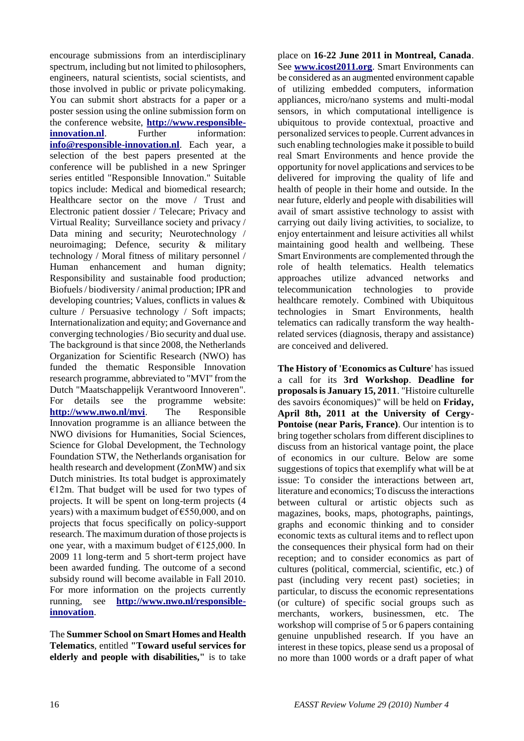encourage submissions from an interdisciplinary spectrum, including but not limited to philosophers, engineers, natural scientists, social scientists, and those involved in public or private policymaking. You can submit short abstracts for a paper or a poster session using the online submission form on the conference website, **[http://www.responsible](http://www.responsible-innovation.nl/)[innovation.nl](http://www.responsible-innovation.nl/).** Further information: **[info@responsible-innovation.nl](mailto:info@responsible-innovation.nl)**. Each year, a selection of the best papers presented at the conference will be published in a new Springer series entitled "Responsible Innovation." Suitable topics include: Medical and biomedical research; Healthcare sector on the move / Trust and Electronic patient dossier / Telecare; Privacy and Virtual Reality; Surveillance society and privacy / Data mining and security; Neurotechnology / neuroimaging; Defence, security & military technology / Moral fitness of military personnel / Human enhancement and human dignity; Responsibility and sustainable food production; Biofuels / biodiversity / animal production; IPR and developing countries; Values, conflicts in values & culture / Persuasive technology / Soft impacts; Internationalization and equity; and Governance and converging technologies / Bio security and dual use. The background is that since 2008, the Netherlands Organization for Scientific Research (NWO) has funded the thematic Responsible Innovation research programme, abbreviated to "MVI" from the Dutch "Maatschappelijk Verantwoord Innoveren". For details see the programme website: **<http://www.nwo.nl/mvi>**. The Responsible Innovation programme is an alliance between the NWO divisions for Humanities, Social Sciences, Science for Global Development, the Technology Foundation STW, the Netherlands organisation for health research and development (ZonMW) and six Dutch ministries. Its total budget is approximately  $E12m$ . That budget will be used for two types of projects. It will be spent on long-term projects (4 years) with a maximum budget of €550,000, and on projects that focus specifically on policy-support research. The maximum duration of those projects is one year, with a maximum budget of  $\epsilon$ 125,000. In 2009 11 long-term and 5 short-term project have been awarded funding. The outcome of a second subsidy round will become available in Fall 2010. For more information on the projects currently running, see **[http://www.nwo.nl/responsible](http://www.nwo.nl/responsible-innovation)[innovation](http://www.nwo.nl/responsible-innovation)**.

The **Summer School on Smart Homes and Health Telematics**, entitled **"Toward useful services for elderly and people with disabilities,"** is to take

place on **16-22 June 2011 in Montreal, Canada**. See **[www.icost2011.org](http://www.icost2011.org/)**. Smart Environments can be considered as an augmented environment capable of utilizing embedded computers, information appliances, micro/nano systems and multi-modal sensors, in which computational intelligence is ubiquitous to provide contextual, proactive and personalized services to people. Current advances in such enabling technologies make it possible to build real Smart Environments and hence provide the opportunity for novel applications and services to be delivered for improving the quality of life and health of people in their home and outside. In the near future, elderly and people with disabilities will avail of smart assistive technology to assist with carrying out daily living activities, to socialize, to enjoy entertainment and leisure activities all whilst maintaining good health and wellbeing. These Smart Environments are complemented through the role of health telematics. Health telematics approaches utilize advanced networks and telecommunication technologies to provide healthcare remotely. Combined with Ubiquitous technologies in Smart Environments, health telematics can radically transform the way healthrelated services (diagnosis, therapy and assistance) are conceived and delivered.

**The History of 'Economics as Culture**' has issued a call for its **3rd Workshop**. **Deadline for proposals is January 15, 2011**. "Histoire culturelle des savoirs économiques)" will be held on **Friday, April 8th, 2011 at the University of Cergy-Pontoise (near Paris, France)**. Our intention is to bring together scholars from different disciplines to discuss from an historical vantage point, the place of economics in our culture. Below are some suggestions of topics that exemplify what will be at issue: To consider the interactions between art, literature and economics; To discuss the interactions between cultural or artistic objects such as magazines, books, maps, photographs, paintings, graphs and economic thinking and to consider economic texts as cultural items and to reflect upon the consequences their physical form had on their reception; and to consider economics as part of cultures (political, commercial, scientific, etc.) of past (including very recent past) societies; in particular, to discuss the economic representations (or culture) of specific social groups such as merchants, workers, businessmen, etc. The workshop will comprise of 5 or 6 papers containing genuine unpublished research. If you have an interest in these topics, please send us a proposal of no more than 1000 words or a draft paper of what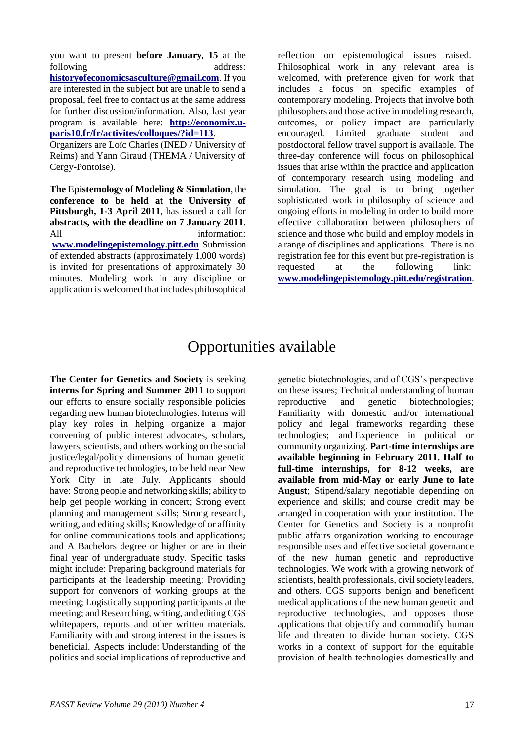you want to present **before January, 15** at the following address: **[historyofeconomicsasculture@gmail.com](mailto:historyofeconomicsasculture@gmail.com)**. If you are interested in the subject but are unable to send a proposal, feel free to contact us at the same address for further discussion/information. Also, last year program is available here: **[http://economix.u](http://economix.u-paris10.fr/fr/activites/colloques/?id=113)[paris10.fr/fr/activites/colloques/?id=113](http://economix.u-paris10.fr/fr/activites/colloques/?id=113)**.

Organizers are Loïc Charles (INED / University of Reims) and Yann Giraud (THEMA / University of Cergy-Pontoise).

**The Epistemology of Modeling & Simulation**, the **conference to be held at the University of Pittsburgh, 1-3 April 2011**, has issued a call for **abstracts, with the deadline on 7 January 2011**. All information: **[www.modelingepistemology.pitt.edu](http://www.modelingepistemology.pitt.edu/)**. Submission of extended abstracts (approximately 1,000 words) is invited for presentations of approximately 30 minutes. Modeling work in any discipline or application is welcomed that includes philosophical

reflection on epistemological issues raised. Philosophical work in any relevant area is welcomed, with preference given for work that includes a focus on specific examples of contemporary modeling. Projects that involve both philosophers and those active in modeling research, outcomes, or policy impact are particularly encouraged. Limited graduate student and postdoctoral fellow travel support is available. The three-day conference will focus on philosophical issues that arise within the practice and application of contemporary research using modeling and simulation. The goal is to bring together sophisticated work in philosophy of science and ongoing efforts in modeling in order to build more effective collaboration between philosophers of science and those who build and employ models in a range of disciplines and applications. There is no registration fee for this event but pre-registration is requested at the following link: **[www.modelingepistemology.pitt.edu/registration](http://www.modelingepistemology.pitt.edu/registration)**.

## Opportunities available

**The Center for Genetics and Society** is seeking **interns for Spring and Summer 2011** to support our efforts to ensure socially responsible policies regarding new human biotechnologies. Interns will play key roles in helping organize a major convening of public interest advocates, scholars, lawyers, scientists, and others working on the social justice/legal/policy dimensions of human genetic and reproductive technologies, to be held near New York City in late July. Applicants should have: Strong people and networking skills; ability to help get people working in concert; Strong event planning and management skills; Strong research, writing, and editing skills; Knowledge of or affinity for online communications tools and applications; and A Bachelors degree or higher or are in their final year of undergraduate study. Specific tasks might include: Preparing background materials for participants at the leadership meeting; Providing support for convenors of working groups at the meeting; Logistically supporting participants at the meeting; and Researching, writing, and editing CGS whitepapers, reports and other written materials. Familiarity with and strong interest in the issues is beneficial. Aspects include: Understanding of the politics and social implications of reproductive and

genetic biotechnologies, and of CGS"s perspective on these issues; Technical understanding of human reproductive and genetic biotechnologies; Familiarity with domestic and/or international policy and legal frameworks regarding these technologies; and Experience in political or community organizing. **Part-time internships are available beginning in February 2011. Half to full-time internships, for 8-12 weeks, are available from mid-May or early June to late August**; Stipend/salary negotiable depending on experience and skills; and course credit may be arranged in cooperation with your institution. The Center for Genetics and Society is a nonprofit public affairs organization working to encourage responsible uses and effective societal governance of the new human genetic and reproductive technologies. We work with a growing network of scientists, health professionals, civil society leaders, and others. CGS supports benign and beneficent medical applications of the new human genetic and reproductive technologies, and opposes those applications that objectify and commodify human life and threaten to divide human society. CGS works in a context of support for the equitable provision of health technologies domestically and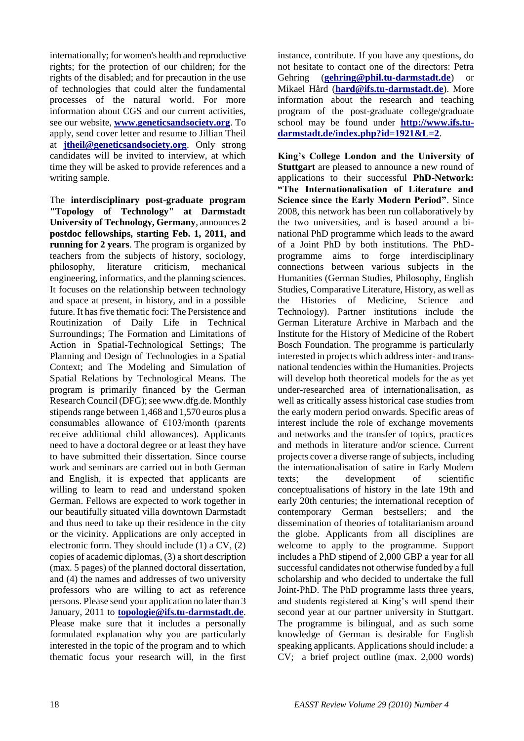internationally; for women's health and reproductive rights; for the protection of our children; for the rights of the disabled; and for precaution in the use of technologies that could alter the fundamental processes of the natural world. For more information about CGS and our current activities, see our website, **[www.geneticsandsociety.org](http://www.geneticsandsociety.org/)**. To apply, send cover letter and resume to Jillian Theil at **[jtheil@geneticsandsociety.org](mailto:jtheil@geneticsandsociety.org)**. Only strong candidates will be invited to interview, at which time they will be asked to provide references and a writing sample.

The **interdisciplinary post-graduate program "Topology of Technology" at Darmstadt University of Technology, Germany**, announces **2 postdoc fellowships, starting Feb. 1, 2011, and running for 2 years**. The program is organized by teachers from the subjects of history, sociology, philosophy, literature criticism, mechanical engineering, informatics, and the planning sciences. It focuses on the relationship between technology and space at present, in history, and in a possible future. It has five thematic foci: The Persistence and Routinization of Daily Life in Technical Surroundings; The Formation and Limitations of Action in Spatial-Technological Settings; The Planning and Design of Technologies in a Spatial Context; and The Modeling and Simulation of Spatial Relations by Technological Means. The program is primarily financed by the German Research Council (DFG); see www.dfg.de. Monthly stipends range between 1,468 and 1,570 euros plus a consumables allowance of €103/month (parents receive additional child allowances). Applicants need to have a doctoral degree or at least they have to have submitted their dissertation. Since course work and seminars are carried out in both German and English, it is expected that applicants are willing to learn to read and understand spoken German. Fellows are expected to work together in our beautifully situated villa downtown Darmstadt and thus need to take up their residence in the city or the vicinity. Applications are only accepted in electronic form. They should include (1) a CV, (2) copies of academic diplomas, (3) a short description (max. 5 pages) of the planned doctoral dissertation, and (4) the names and addresses of two university professors who are willing to act as reference persons. Please send your application no later than 3 January, 2011 to **[topologie@ifs.tu-darmstadt.de](mailto:topologie@ifs.tu-darmstadt.de)**. Please make sure that it includes a personally formulated explanation why you are particularly interested in the topic of the program and to which thematic focus your research will, in the first instance, contribute. If you have any questions, do not hesitate to contact one of the directors: Petra Gehring (**[gehring@phil.tu-darmstadt.de](mailto:gehring@phil.tu-darmstadt.de)**) or Mikael Hård (**[hard@ifs.tu-darmstadt.de](mailto:hard@ifs.tu-darmstadt.de)**). More information about the research and teaching program of the post-graduate college/graduate school may be found under **[http://www.ifs.tu](http://www.ifs.tu-darmstadt.de/index.php?id=1921&L=2)[darmstadt.de/index.php?id=1921&L=2](http://www.ifs.tu-darmstadt.de/index.php?id=1921&L=2)**.

**King"s College London and the University of Stuttgart** are pleased to announce a new round of applications to their successful **PhD-Network: "The Internationalisation of Literature and Science since the Early Modern Period"**. Since 2008, this network has been run collaboratively by the two universities, and is based around a binational PhD programme which leads to the award of a Joint PhD by both institutions. The PhDprogramme aims to forge interdisciplinary connections between various subjects in the Humanities (German Studies, Philosophy, English Studies, Comparative Literature, History, as well as the Histories of Medicine, Science and Technology). Partner institutions include the German Literature Archive in Marbach and the Institute for the History of Medicine of the Robert Bosch Foundation. The programme is particularly interested in projects which address inter- and transnational tendencies within the Humanities. Projects will develop both theoretical models for the as yet under-researched area of internationalisation, as well as critically assess historical case studies from the early modern period onwards. Specific areas of interest include the role of exchange movements and networks and the transfer of topics, practices and methods in literature and/or science. Current projects cover a diverse range of subjects, including the internationalisation of satire in Early Modern texts; the development of scientific conceptualisations of history in the late 19th and early 20th centuries; the international reception of contemporary German bestsellers; and the dissemination of theories of totalitarianism around the globe. Applicants from all disciplines are welcome to apply to the programme. Support includes a PhD stipend of 2,000 GBP a year for all successful candidates not otherwise funded by a full scholarship and who decided to undertake the full Joint-PhD. The PhD programme lasts three years, and students registered at King"s will spend their second year at our partner university in Stuttgart. The programme is bilingual, and as such some knowledge of German is desirable for English speaking applicants. Applications should include: a CV; a brief project outline (max. 2,000 words)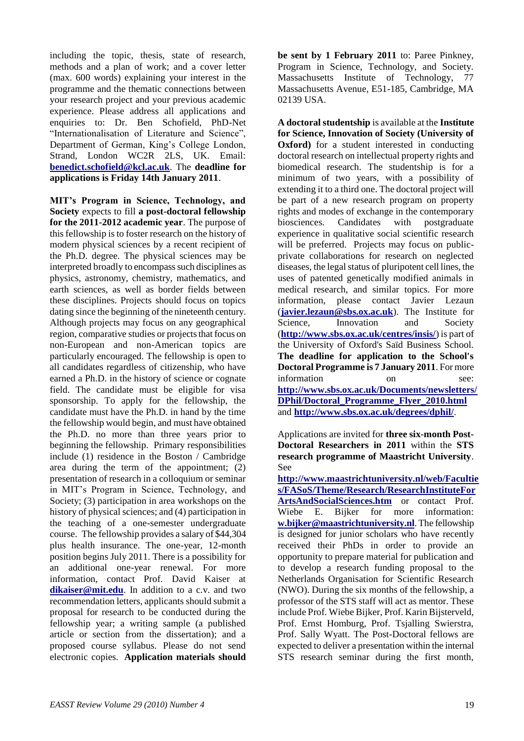including the topic, thesis, state of research, methods and a plan of work; and a cover letter (max. 600 words) explaining your interest in the programme and the thematic connections between your research project and your previous academic experience. Please address all applications and enquiries to: Dr. Ben Schofield, PhD-Net "Internationalisation of Literature and Science", Department of German, King"s College London, Strand, London WC2R 2LS, UK. Email: **[benedict.schofield@kcl.ac.uk](mailto:benedict.schofield@kcl.ac.uk)**. The **deadline for applications is Friday 14th January 2011**.

**MIT"s Program in Science, Technology, and Society** expects to fill **a post-doctoral fellowship for the 2011-2012 academic year**. The purpose of this fellowship is to foster research on the history of modern physical sciences by a recent recipient of the Ph.D. degree. The physical sciences may be interpreted broadly to encompass such disciplines as physics, astronomy, chemistry, mathematics, and earth sciences, as well as border fields between these disciplines. Projects should focus on topics dating since the beginning of the nineteenth century. Although projects may focus on any geographical region, comparative studies or projects that focus on non-European and non-American topics are particularly encouraged. The fellowship is open to all candidates regardless of citizenship, who have earned a Ph.D. in the history of science or cognate field. The candidate must be eligible for visa sponsorship. To apply for the fellowship, the candidate must have the Ph.D. in hand by the time the fellowship would begin, and must have obtained the Ph.D. no more than three years prior to beginning the fellowship. Primary responsibilities include (1) residence in the Boston / Cambridge area during the term of the appointment; (2) presentation of research in a colloquium or seminar in MIT"s Program in Science, Technology, and Society; (3) participation in area workshops on the history of physical sciences; and (4) participation in the teaching of a one-semester undergraduate course. The fellowship provides a salary of \$44,304 plus health insurance. The one-year, 12-month position begins July 2011. There is a possibility for an additional one-year renewal. For more information, contact Prof. David Kaiser at **[dikaiser@mit.edu](mailto:dikaiser@mit.edu)**. In addition to a c.v. and two recommendation letters, applicants should submit a proposal for research to be conducted during the fellowship year; a writing sample (a published article or section from the dissertation); and a proposed course syllabus. Please do not send electronic copies. **Application materials should** 

**be sent by 1 February 2011** to: Paree Pinkney, Program in Science, Technology, and Society. Massachusetts Institute of Technology, 77 Massachusetts Avenue, E51-185, Cambridge, MA 02139 USA.

**A doctoral studentship** is available at the **Institute for Science, Innovation of Society (University of Oxford)** for a student interested in conducting doctoral research on intellectual property rights and biomedical research. The studentship is for a minimum of two years, with a possibility of extending it to a third one. The doctoral project will be part of a new research program on property rights and modes of exchange in the contemporary biosciences. Candidates with postgraduate experience in qualitative social scientific research will be preferred. Projects may focus on publicprivate collaborations for research on neglected diseases, the legal status of pluripotent cell lines, the uses of patented genetically modified animals in medical research, and similar topics. For more information, please contact Javier Lezaun (**[javier.lezaun@sbs.ox.ac.uk](mailto:javier.lezaun@sbs.ox.ac.uk)**). The Institute for Science, Innovation and Society (**<http://www.sbs.ox.ac.uk/centres/insis/>**) is part of the University of Oxford's Saïd Business School. **The deadline for application to the School's Doctoral Programme is 7 January 2011**. For more information on see: **[http://www.sbs.ox.ac.uk/Documents/newsletters/](http://www.sbs.ox.ac.uk/Documents/newsletters/DPhil/Doctoral_Programme_Flyer_2010.html) [DPhil/Doctoral\\_Programme\\_Flyer\\_2010.html](http://www.sbs.ox.ac.uk/Documents/newsletters/DPhil/Doctoral_Programme_Flyer_2010.html)** and **<http://www.sbs.ox.ac.uk/degrees/dphil/>**.

Applications are invited for **three six-month Post-Doctoral Researchers in 2011** within the **STS research programme of Maastricht University**. See

**[http://www.maastrichtuniversity.nl/web/Facultie](http://www.maastrichtuniversity.nl/web/Faculties/FASoS/Theme/Research/ResearchInstituteForArtsAndSocialSciences.htm) [s/FASoS/Theme/Research/ResearchInstituteFor](http://www.maastrichtuniversity.nl/web/Faculties/FASoS/Theme/Research/ResearchInstituteForArtsAndSocialSciences.htm) [ArtsAndSocialSciences.htm](http://www.maastrichtuniversity.nl/web/Faculties/FASoS/Theme/Research/ResearchInstituteForArtsAndSocialSciences.htm)** or contact Prof. Wiebe E. Bijker for more information: **[w.bijker@maastrichtuniversity.nl](mailto:w.bijker@maastrichtuniversity.nl)**. The fellowship is designed for junior scholars who have recently received their PhDs in order to provide an opportunity to prepare material for publication and to develop a research funding proposal to the Netherlands Organisation for Scientific Research (NWO). During the six months of the fellowship, a professor of the STS staff will act as mentor. These include Prof. Wiebe Bijker, Prof. Karin Bijsterveld, Prof. Ernst Homburg, Prof. Tsjalling Swierstra, Prof. Sally Wyatt. The Post-Doctoral fellows are expected to deliver a presentation within the internal STS research seminar during the first month,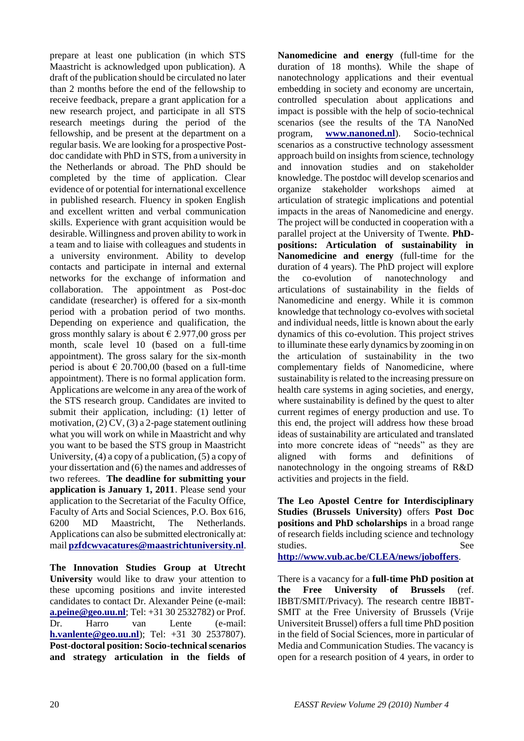prepare at least one publication (in which STS Maastricht is acknowledged upon publication). A draft of the publication should be circulated no later than 2 months before the end of the fellowship to receive feedback, prepare a grant application for a new research project, and participate in all STS research meetings during the period of the fellowship, and be present at the department on a regular basis. We are looking for a prospective Postdoc candidate with PhD in STS, from a university in the Netherlands or abroad. The PhD should be completed by the time of application. Clear evidence of or potential for international excellence in published research. Fluency in spoken English and excellent written and verbal communication skills. Experience with grant acquisition would be desirable. Willingness and proven ability to work in a team and to liaise with colleagues and students in a university environment. Ability to develop contacts and participate in internal and external networks for the exchange of information and collaboration. The appointment as Post-doc candidate (researcher) is offered for a six-month period with a probation period of two months. Depending on experience and qualification, the gross monthly salary is about  $\epsilon$  2.977,00 gross per month, scale level 10 (based on a full-time appointment). The gross salary for the six-month period is about  $\epsilon$  20.700,00 (based on a full-time appointment). There is no formal application form. Applications are welcome in any area of the work of the STS research group. Candidates are invited to submit their application, including: (1) letter of motivation,  $(2)$  CV,  $(3)$  a 2-page statement outlining what you will work on while in Maastricht and why you want to be based the STS group in Maastricht University, (4) a copy of a publication, (5) a copy of your dissertation and (6) the names and addresses of two referees. **The deadline for submitting your application is January 1, 2011**. Please send your application to the Secretariat of the Faculty Office, Faculty of Arts and Social Sciences, P.O. Box 616, 6200 MD Maastricht, The Netherlands. Applications can also be submitted electronically at: mail **[pzfdcwvacatures@maastrichtuniversity.nl](mailto:pzfdcwvacatures@maastrichtuniversity.nl)**.

**The Innovation Studies Group at Utrecht University** would like to draw your attention to these upcoming positions and invite interested candidates to contact Dr. Alexander Peine (e-mail: **[a.peine@geo.uu.nl](mailto:a.peine@geo.uu.nl)**; Tel: +31 30 2532782) or Prof. Dr. Harro van Lente (e-mail: **[h.vanlente@geo.uu.nl](mailto:h.vanlente@geo.uu.nl)**); Tel: +31 30 2537807). **Post-doctoral position: Socio-technical scenarios and strategy articulation in the fields of** 

**Nanomedicine and energy** (full-time for the duration of 18 months). While the shape of nanotechnology applications and their eventual embedding in society and economy are uncertain, controlled speculation about applications and impact is possible with the help of socio-technical scenarios (see the results of the TA NanoNed program, **[www.nanoned.nl](http://www.nanoned.nl/)**). Socio-technical scenarios as a constructive technology assessment approach build on insights from science, technology and innovation studies and on stakeholder knowledge. The postdoc will develop scenarios and organize stakeholder workshops aimed at articulation of strategic implications and potential impacts in the areas of Nanomedicine and energy. The project will be conducted in cooperation with a parallel project at the University of Twente. **PhDpositions: Articulation of sustainability in Nanomedicine and energy** (full-time for the duration of 4 years). The PhD project will explore the co-evolution of nanotechnology and articulations of sustainability in the fields of Nanomedicine and energy. While it is common knowledge that technology co-evolves with societal and individual needs, little is known about the early dynamics of this co-evolution. This project strives to illuminate these early dynamics by zooming in on the articulation of sustainability in the two complementary fields of Nanomedicine, where sustainability is related to the increasing pressure on health care systems in aging societies, and energy, where sustainability is defined by the quest to alter current regimes of energy production and use. To this end, the project will address how these broad ideas of sustainability are articulated and translated into more concrete ideas of "needs" as they are aligned with forms and definitions of nanotechnology in the ongoing streams of R&D activities and projects in the field.

**The Leo Apostel Centre for Interdisciplinary Studies (Brussels University)** offers **Post Doc positions and PhD scholarships** in a broad range of research fields including science and technology studies. See

**<http://www.vub.ac.be/CLEA/news/joboffers>**.

There is a vacancy for a **full-time PhD position at the Free University of Brussels** (ref. IBBT/SMIT/Privacy). The research centre IBBT-SMIT at the Free University of Brussels (Vrije Universiteit Brussel) offers a full time PhD position in the field of Social Sciences, more in particular of Media and Communication Studies. The vacancy is open for a research position of 4 years, in order to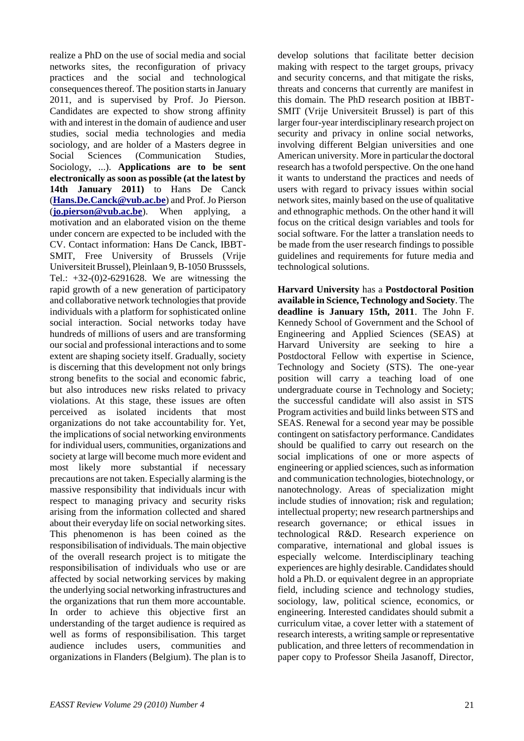realize a PhD on the use of social media and social networks sites, the reconfiguration of privacy practices and the social and technological consequences thereof. The position starts in January 2011, and is supervised by Prof. Jo Pierson. Candidates are expected to show strong affinity with and interest in the domain of audience and user studies, social media technologies and media sociology, and are holder of a Masters degree in Social Sciences (Communication Studies, Sociology, ...). **Applications are to be sent electronically as soon as possible (at the latest by 14th January 2011)** to Hans De Canck (**[Hans.De.Canck@vub.ac.be](mailto:Hans.De.Canck@vub.ac.be)**) and Prof. Jo Pierson (**[jo.pierson@vub.ac.be](mailto:jo.pierson@vub.ac.be)**). When applying, a motivation and an elaborated vision on the theme under concern are expected to be included with the CV. Contact information: Hans De Canck, IBBT-SMIT, Free University of Brussels (Vrije Universiteit Brussel), Pleinlaan 9, B-1050 Brusssels, Tel.: +32-(0)2-6291628. We are witnessing the rapid growth of a new generation of participatory and collaborative network technologies that provide individuals with a platform for sophisticated online social interaction. Social networks today have hundreds of millions of users and are transforming our social and professional interactions and to some extent are shaping society itself. Gradually, society is discerning that this development not only brings strong benefits to the social and economic fabric, but also introduces new risks related to privacy violations. At this stage, these issues are often perceived as isolated incidents that most organizations do not take accountability for. Yet, the implications of social networking environments for individual users, communities, organizations and society at large will become much more evident and most likely more substantial if necessary precautions are not taken. Especially alarming is the massive responsibility that individuals incur with respect to managing privacy and security risks arising from the information collected and shared about their everyday life on social networking sites. This phenomenon is has been coined as the responsibilisation of individuals. The main objective of the overall research project is to mitigate the responsibilisation of individuals who use or are affected by social networking services by making the underlying social networking infrastructures and the organizations that run them more accountable. In order to achieve this objective first an understanding of the target audience is required as well as forms of responsibilisation. This target audience includes users, communities and organizations in Flanders (Belgium). The plan is to

develop solutions that facilitate better decision making with respect to the target groups, privacy and security concerns, and that mitigate the risks, threats and concerns that currently are manifest in this domain. The PhD research position at IBBT-SMIT (Vrije Universiteit Brussel) is part of this larger four-year interdisciplinary research project on security and privacy in online social networks, involving different Belgian universities and one American university. More in particular the doctoral research has a twofold perspective. On the one hand it wants to understand the practices and needs of users with regard to privacy issues within social network sites, mainly based on the use of qualitative and ethnographic methods. On the other hand it will focus on the critical design variables and tools for social software. For the latter a translation needs to be made from the user research findings to possible guidelines and requirements for future media and technological solutions.

**Harvard University** has a **Postdoctoral Position available in Science, Technology and Society**. The **deadline is January 15th, 2011**. The John F. Kennedy School of Government and the School of Engineering and Applied Sciences (SEAS) at Harvard University are seeking to hire a Postdoctoral Fellow with expertise in Science, Technology and Society (STS). The one-year position will carry a teaching load of one undergraduate course in Technology and Society; the successful candidate will also assist in STS Program activities and build links between STS and SEAS. Renewal for a second year may be possible contingent on satisfactory performance. Candidates should be qualified to carry out research on the social implications of one or more aspects of engineering or applied sciences, such as information and communication technologies, biotechnology, or nanotechnology. Areas of specialization might include studies of innovation; risk and regulation; intellectual property; new research partnerships and research governance; or ethical issues in technological R&D. Research experience on comparative, international and global issues is especially welcome. Interdisciplinary teaching experiences are highly desirable. Candidates should hold a Ph.D. or equivalent degree in an appropriate field, including science and technology studies, sociology, law, political science, economics, or engineering. Interested candidates should submit a curriculum vitae, a cover letter with a statement of research interests, a writing sample or representative publication, and three letters of recommendation in paper copy to Professor Sheila Jasanoff, Director,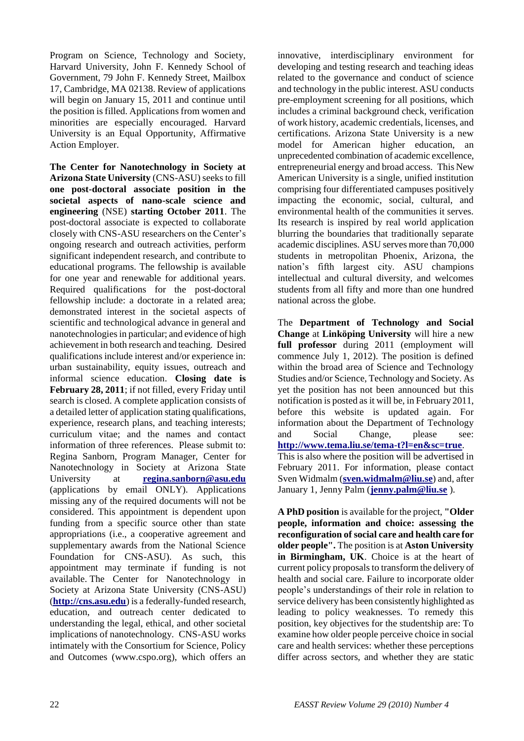Program on Science, Technology and Society, Harvard University, John F. Kennedy School of Government, 79 John F. Kennedy Street, Mailbox 17, Cambridge, MA 02138. Review of applications will begin on January 15, 2011 and continue until the position is filled. Applications from women and minorities are especially encouraged. Harvard University is an Equal Opportunity, Affirmative Action Employer.

**The Center for Nanotechnology in Society at Arizona State University** (CNS-ASU) seeks to fill **one post-doctoral associate position in the societal aspects of nano-scale science and engineering** (NSE) **starting October 2011**. The post-doctoral associate is expected to collaborate closely with CNS-ASU researchers on the Center"s ongoing research and outreach activities, perform significant independent research, and contribute to educational programs. The fellowship is available for one year and renewable for additional years. Required qualifications for the post-doctoral fellowship include: a doctorate in a related area; demonstrated interest in the societal aspects of scientific and technological advance in general and nanotechnologies in particular; and evidence of high achievement in both research and teaching. Desired qualifications include interest and/or experience in: urban sustainability, equity issues, outreach and informal science education. **Closing date is February 28, 2011**; if not filled, every Friday until search is closed. A complete application consists of a detailed letter of application stating qualifications, experience, research plans, and teaching interests; curriculum vitae; and the names and contact information of three references. Please submit to: Regina Sanborn, Program Manager, Center for Nanotechnology in Society at Arizona State University at **[regina.sanborn@asu.edu](mailto:regina.sanborn@asu.edu)** (applications by email ONLY). Applications missing any of the required documents will not be considered. This appointment is dependent upon funding from a specific source other than state appropriations (i.e., a cooperative agreement and supplementary awards from the National Science Foundation for CNS-ASU). As such, this appointment may terminate if funding is not available. The Center for Nanotechnology in Society at Arizona State University (CNS-ASU) (**[http://cns.asu.edu](http://cns.asu.edu/)**) is a federally-funded research, education, and outreach center dedicated to understanding the legal, ethical, and other societal implications of nanotechnology. CNS-ASU works intimately with the Consortium for Science, Policy and Outcomes (www.cspo.org), which offers an

innovative, interdisciplinary environment for developing and testing research and teaching ideas related to the governance and conduct of science and technology in the public interest. ASU conducts pre-employment screening for all positions, which includes a criminal background check, verification of work history, academic credentials, licenses, and certifications. Arizona State University is a new model for American higher education, an unprecedented combination of academic excellence, entrepreneurial energy and broad access. This New American University is a single, unified institution comprising four differentiated campuses positively impacting the economic, social, cultural, and environmental health of the communities it serves. Its research is inspired by real world application blurring the boundaries that traditionally separate academic disciplines. ASU serves more than 70,000 students in metropolitan Phoenix, Arizona, the nation"s fifth largest city. ASU champions intellectual and cultural diversity, and welcomes students from all fifty and more than one hundred national across the globe.

The **Department of Technology and Social Change** at **Linköping University** will hire a new **full professor** during 2011 (employment will commence July 1, 2012). The position is defined within the broad area of Science and Technology Studies and/or Science, Technology and Society. As yet the position has not been announced but this notification is posted as it will be, in February 2011, before this website is updated again. For information about the Department of Technology and Social Change, please see: **<http://www.tema.liu.se/tema-t?l=en&sc=true>**. This is also where the position will be advertised in February 2011. For information, please contact Sven Widmalm (**[sven.widmalm@liu.se](mailto:sven.widmalm@liu.se)**) and, after January 1, Jenny Palm (**[jenny.palm@liu.se](mailto:jenny.palm@liu.se)** ).

**A PhD position** is available for the project, **"Older people, information and choice: assessing the reconfiguration of social care and health care for older people".** The position is at **Aston University in Birmingham, UK**. Choice is at the heart of current policy proposals to transform the delivery of health and social care. Failure to incorporate older people"s understandings of their role in relation to service delivery has been consistently highlighted as leading to policy weaknesses. To remedy this position, key objectives for the studentship are: To examine how older people perceive choice in social care and health services: whether these perceptions differ across sectors, and whether they are static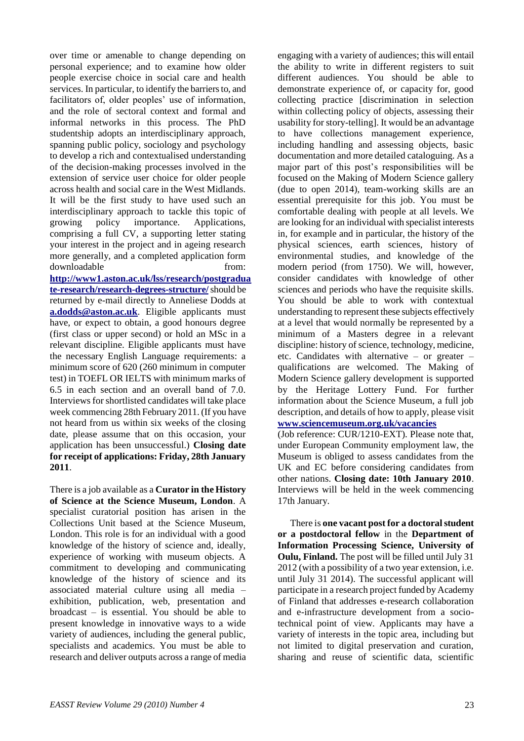over time or amenable to change depending on personal experience; and to examine how older people exercise choice in social care and health services. In particular, to identify the barriers to, and facilitators of, older peoples' use of information, and the role of sectoral context and formal and informal networks in this process. The PhD studentship adopts an interdisciplinary approach, spanning public policy, sociology and psychology to develop a rich and contextualised understanding of the decision-making processes involved in the extension of service user choice for older people across health and social care in the West Midlands. It will be the first study to have used such an interdisciplinary approach to tackle this topic of growing policy importance. Applications, comprising a full CV, a supporting letter stating your interest in the project and in ageing research more generally, and a completed application form downloadable from:

**[http://www1.aston.ac.uk/lss/research/postgradua](http://www1.aston.ac.uk/lss/research/postgraduate-research/research-degrees-structure/) [te-research/research-degrees-structure/](http://www1.aston.ac.uk/lss/research/postgraduate-research/research-degrees-structure/)**should be returned by e-mail directly to Anneliese Dodds at **[a.dodds@aston.ac.uk](mailto:a.dodds@aston.ac.uk)**. Eligible applicants must have, or expect to obtain, a good honours degree (first class or upper second) or hold an MSc in a relevant discipline. Eligible applicants must have the necessary English Language requirements: a minimum score of 620 (260 minimum in computer test) in TOEFL OR IELTS with minimum marks of 6.5 in each section and an overall band of 7.0. Interviews for shortlisted candidates will take place week commencing 28th February 2011. (If you have not heard from us within six weeks of the closing date, please assume that on this occasion, your application has been unsuccessful.) **Closing date for receipt of applications: Friday, 28th January 2011**.

There is a job available as a **Curator in the History of Science at the Science Museum, London**. A specialist curatorial position has arisen in the Collections Unit based at the Science Museum, London. This role is for an individual with a good knowledge of the history of science and, ideally, experience of working with museum objects. A commitment to developing and communicating knowledge of the history of science and its associated material culture using all media – exhibition, publication, web, presentation and broadcast – is essential. You should be able to present knowledge in innovative ways to a wide variety of audiences, including the general public, specialists and academics. You must be able to research and deliver outputs across a range of media

engaging with a variety of audiences; this will entail the ability to write in different registers to suit different audiences. You should be able to demonstrate experience of, or capacity for, good collecting practice [discrimination in selection within collecting policy of objects, assessing their usability for story-telling]. It would be an advantage to have collections management experience, including handling and assessing objects, basic documentation and more detailed cataloguing. As a major part of this post"s responsibilities will be focused on the Making of Modern Science gallery (due to open 2014), team-working skills are an essential prerequisite for this job. You must be comfortable dealing with people at all levels. We are looking for an individual with specialist interests in, for example and in particular, the history of the physical sciences, earth sciences, history of environmental studies, and knowledge of the modern period (from 1750). We will, however, consider candidates with knowledge of other sciences and periods who have the requisite skills. You should be able to work with contextual understanding to represent these subjects effectively at a level that would normally be represented by a minimum of a Masters degree in a relevant discipline: history of science, technology, medicine, etc. Candidates with alternative – or greater – qualifications are welcomed. The Making of Modern Science gallery development is supported by the Heritage Lottery Fund. For further information about the Science Museum, a full job description, and details of how to apply, please visit **[www.sciencemuseum.org.uk/vacancies](http://www.sciencemuseum.org.uk/vacancies)**

(Job reference: CUR/1210-EXT). Please note that, under European Community employment law, the Museum is obliged to assess candidates from the UK and EC before considering candidates from other nations. **Closing date: 10th January 2010**. Interviews will be held in the week commencing 17th January.

There is **one vacant post for a doctoral student or a postdoctoral fellow** in the **Department of Information Processing Science, University of Oulu, Finland.** The post will be filled until July 31 2012 (with a possibility of a two year extension, i.e. until July 31 2014). The successful applicant will participate in a research project funded by Academy of Finland that addresses e-research collaboration and e-infrastructure development from a sociotechnical point of view. Applicants may have a variety of interests in the topic area, including but not limited to digital preservation and curation, sharing and reuse of scientific data, scientific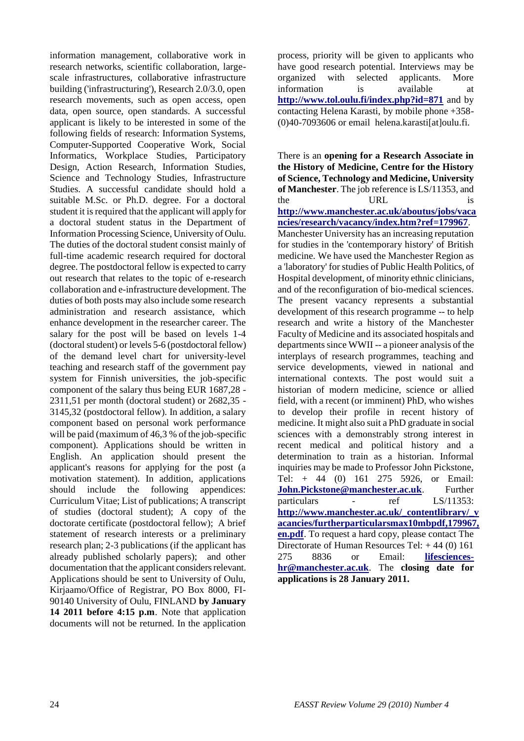information management, collaborative work in research networks, scientific collaboration, largescale infrastructures, collaborative infrastructure building ('infrastructuring'), Research 2.0/3.0, open research movements, such as open access, open data, open source, open standards. A successful applicant is likely to be interested in some of the following fields of research: Information Systems, Computer-Supported Cooperative Work, Social Informatics, Workplace Studies, Participatory Design, Action Research, Information Studies, Science and Technology Studies, Infrastructure Studies. A successful candidate should hold a suitable M.Sc. or Ph.D. degree. For a doctoral student it is required that the applicant will apply for a doctoral student status in the Department of Information Processing Science, University of Oulu. The duties of the doctoral student consist mainly of full-time academic research required for doctoral degree. The postdoctoral fellow is expected to carry out research that relates to the topic of e-research collaboration and e-infrastructure development. The duties of both posts may also include some research administration and research assistance, which enhance development in the researcher career. The salary for the post will be based on levels 1-4 (doctoral student) or levels 5-6 (postdoctoral fellow) of the demand level chart for university-level teaching and research staff of the government pay system for Finnish universities, the job-specific component of the salary thus being EUR 1687,28 - 2311,51 per month (doctoral student) or 2682,35 - 3145,32 (postdoctoral fellow). In addition, a salary component based on personal work performance will be paid (maximum of 46,3 % of the job-specific component). Applications should be written in English. An application should present the applicant's reasons for applying for the post (a motivation statement). In addition, applications should include the following appendices: Curriculum Vitae; List of publications; A transcript of studies (doctoral student); A copy of the doctorate certificate (postdoctoral fellow); A brief statement of research interests or a preliminary research plan; 2-3 publications (if the applicant has already published scholarly papers); and other documentation that the applicant considers relevant. Applications should be sent to University of Oulu, Kirjaamo/Office of Registrar, PO Box 8000, FI-90140 University of Oulu, FINLAND **by January 14 2011 before 4:15 p.m**. Note that application documents will not be returned. In the application

process, priority will be given to applicants who have good research potential. Interviews may be organized with selected applicants. More information is available at **<http://www.tol.oulu.fi/index.php?id=871>** and by contacting Helena Karasti, by mobile phone +358- (0)40-7093606 or email helena.karasti[at]oulu.fi.

There is an **opening for a Research Associate in the History of Medicine, Centre for the History of Science, Technology and Medicine, University of Manchester**. The job reference is LS/11353, and the URL is **[http://www.manchester.ac.uk/aboutus/jobs/vaca](http://www.manchester.ac.uk/aboutus/jobs/vacancies/research/vacancy/index.htm?ref=179967) [ncies/research/vacancy/index.htm?ref=179967](http://www.manchester.ac.uk/aboutus/jobs/vacancies/research/vacancy/index.htm?ref=179967)**. Manchester University has an increasing reputation for studies in the 'contemporary history' of British medicine. We have used the Manchester Region as a 'laboratory' for studies of Public Health Politics, of Hospital development, of minority ethnic clinicians, and of the reconfiguration of bio-medical sciences. The present vacancy represents a substantial development of this research programme -- to help research and write a history of the Manchester Faculty of Medicine and its associated hospitals and departments since WWII -- a pioneer analysis of the interplays of research programmes, teaching and service developments, viewed in national and international contexts. The post would suit a historian of modern medicine, science or allied field, with a recent (or imminent) PhD, who wishes to develop their profile in recent history of medicine. It might also suit a PhD graduate in social sciences with a demonstrably strong interest in recent medical and political history and a determination to train as a historian. Informal inquiries may be made to Professor John Pickstone, Tel: + 44 (0) 161 275 5926, or Email: **[John.Pickstone@manchester.ac.uk](mailto:John.Pickstone@manchester.ac.uk)**. Further particulars - ref LS/11353: **[http://www.manchester.ac.uk/\\_contentlibrary/\\_v](http://www.manchester.ac.uk/_contentlibrary/_vacancies/furtherparticularsmax10mbpdf,179967,en.pdf) [acancies/furtherparticularsmax10mbpdf,179967,](http://www.manchester.ac.uk/_contentlibrary/_vacancies/furtherparticularsmax10mbpdf,179967,en.pdf) [en.pdf](http://www.manchester.ac.uk/_contentlibrary/_vacancies/furtherparticularsmax10mbpdf,179967,en.pdf)**. To request a hard copy, please contact The Directorate of Human Resources Tel: + 44 (0) 161 275 8836 or Email: **[lifesciences](mailto:lifesciences-hr@manchester.ac.uk)[hr@manchester.ac.uk](mailto:lifesciences-hr@manchester.ac.uk)**. The **closing date for applications is 28 January 2011.**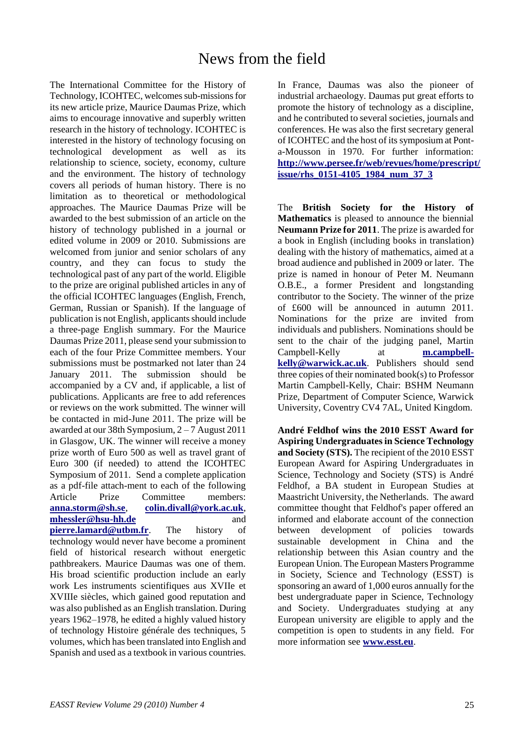The International Committee for the History of Technology, ICOHTEC, welcomes sub-missions for its new article prize, Maurice Daumas Prize, which aims to encourage innovative and superbly written research in the history of technology. ICOHTEC is interested in the history of technology focusing on technological development as well as its relationship to science, society, economy, culture and the environment. The history of technology covers all periods of human history. There is no limitation as to theoretical or methodological approaches. The Maurice Daumas Prize will be awarded to the best submission of an article on the history of technology published in a journal or edited volume in 2009 or 2010. Submissions are welcomed from junior and senior scholars of any country, and they can focus to study the technological past of any part of the world. Eligible to the prize are original published articles in any of the official ICOHTEC languages (English, French, German, Russian or Spanish). If the language of publication is not English, applicants should include a three-page English summary. For the Maurice Daumas Prize 2011, please send your submission to each of the four Prize Committee members. Your submissions must be postmarked not later than 24 January 2011. The submission should be accompanied by a CV and, if applicable, a list of publications. Applicants are free to add references or reviews on the work submitted. The winner will be contacted in mid-June 2011. The prize will be awarded at our 38th Symposium, 2 – 7 August 2011 in Glasgow, UK. The winner will receive a money prize worth of Euro 500 as well as travel grant of Euro 300 (if needed) to attend the ICOHTEC Symposium of 2011. Send a complete application as a pdf-file attach-ment to each of the following Article Prize Committee members: **[anna.storm@sh.se](mailto:anna.storm@sh.se)**, **[colin.divall@york.ac.uk](mailto:colin.divall@york.ac.uk)**, **[mhessler@hsu-hh.de](mailto:mhessler@hsu-hh.de)** and **[pierre.lamard@utbm.fr](mailto:pierre.lamard@utbm.fr)**. The history of technology would never have become a prominent field of historical research without energetic pathbreakers. Maurice Daumas was one of them. His broad scientific production include an early work Les instruments scientifiques aus XVIIe et XVIIIe siècles, which gained good reputation and was also published as an English translation. During years 1962–1978, he edited a highly valued history of technology Histoire générale des techniques, 5 volumes, which has been translated into English and Spanish and used as a textbook in various countries.

In France, Daumas was also the pioneer of industrial archaeology. Daumas put great efforts to promote the history of technology as a discipline, and he contributed to several societies, journals and conferences. He was also the first secretary general of ICOHTEC and the host of its symposium at Ponta-Mousson in 1970. For further information: **[http://www.persee.fr/web/revues/home/prescript/](http://www.persee.fr/web/revues/home/prescript/issue/rhs_0151-4105_1984_num_37_3) [issue/rhs\\_0151-4105\\_1984\\_num\\_37\\_3](http://www.persee.fr/web/revues/home/prescript/issue/rhs_0151-4105_1984_num_37_3)**

The **British Society for the History of Mathematics** is pleased to announce the biennial **Neumann Prize for 2011**. The prize is awarded for a book in English (including books in translation) dealing with the history of mathematics, aimed at a broad audience and published in 2009 or later. The prize is named in honour of Peter M. Neumann O.B.E., a former President and longstanding contributor to the Society. The winner of the prize of £600 will be announced in autumn 2011. Nominations for the prize are invited from individuals and publishers. Nominations should be sent to the chair of the judging panel, Martin Campbell-Kelly at **[m.campbell](mailto:m.campbell-kelly@warwick.ac.uk)[kelly@warwick.ac.uk](mailto:m.campbell-kelly@warwick.ac.uk)**. Publishers should send three copies of their nominated book(s) to Professor Martin Campbell-Kelly, Chair: BSHM Neumann Prize, Department of Computer Science, Warwick University, Coventry CV4 7AL, United Kingdom.

**André Feldhof wins the 2010 ESST Award for Aspiring Undergraduates in Science Technology and Society (STS).** The recipient of the 2010 ESST European Award for Aspiring Undergraduates in Science, Technology and Society (STS) is André Feldhof, a BA student in European Studies at Maastricht University, the Netherlands. The award committee thought that Feldhof's paper offered an informed and elaborate account of the connection between development of policies towards sustainable development in China and the relationship between this Asian country and the European Union. The European Masters Programme in Society, Science and Technology (ESST) is sponsoring an award of 1,000 euros annually for the best undergraduate paper in Science, Technology and Society. Undergraduates studying at any European university are eligible to apply and the competition is open to students in any field. For more information see **[www.esst.eu](http://www.esst.eu/)**.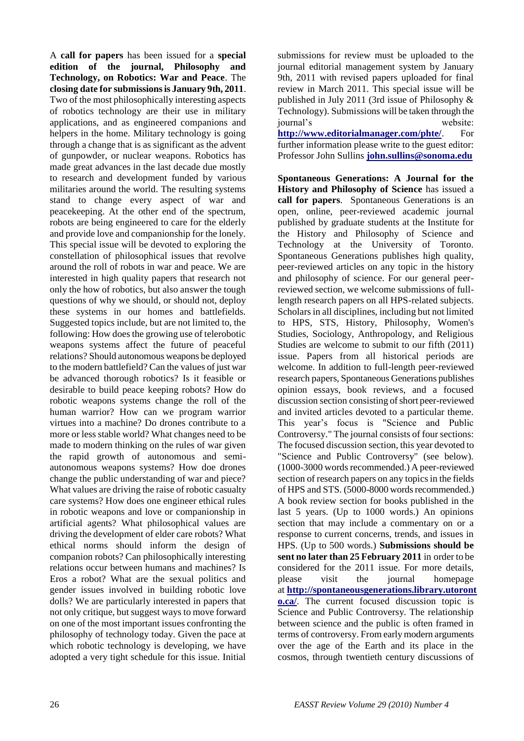A **call for papers** has been issued for a **special edition of the journal, Philosophy and Technology, on Robotics: War and Peace**. The **closing date for submissions is January 9th, 2011**. Two of the most philosophically interesting aspects of robotics technology are their use in military applications, and as engineered companions and helpers in the home. Military technology is going through a change that is as significant as the advent of gunpowder, or nuclear weapons. Robotics has made great advances in the last decade due mostly to research and development funded by various militaries around the world. The resulting systems stand to change every aspect of war and peacekeeping. At the other end of the spectrum, robots are being engineered to care for the elderly and provide love and companionship for the lonely. This special issue will be devoted to exploring the constellation of philosophical issues that revolve around the roll of robots in war and peace. We are interested in high quality papers that research not only the how of robotics, but also answer the tough questions of why we should, or should not, deploy these systems in our homes and battlefields. Suggested topics include, but are not limited to, the following: How does the growing use of telerobotic weapons systems affect the future of peaceful relations? Should autonomous weapons be deployed to the modern battlefield? Can the values of just war be advanced thorough robotics? Is it feasible or desirable to build peace keeping robots? How do robotic weapons systems change the roll of the human warrior? How can we program warrior virtues into a machine? Do drones contribute to a more or less stable world? What changes need to be made to modern thinking on the rules of war given the rapid growth of autonomous and semiautonomous weapons systems? How doe drones change the public understanding of war and piece? What values are driving the raise of robotic casualty care systems? How does one engineer ethical rules in robotic weapons and love or companionship in artificial agents? What philosophical values are driving the development of elder care robots? What ethical norms should inform the design of companion robots? Can philosophically interesting relations occur between humans and machines? Is Eros a robot? What are the sexual politics and gender issues involved in building robotic love dolls? We are particularly interested in papers that not only critique, but suggest ways to move forward on one of the most important issues confronting the philosophy of technology today. Given the pace at which robotic technology is developing, we have adopted a very tight schedule for this issue. Initial

submissions for review must be uploaded to the journal editorial management system by January 9th, 2011 with revised papers uploaded for final review in March 2011. This special issue will be published in July 2011 (3rd issue of Philosophy & Technology). Submissions will be taken through the journal"s website: **<http://www.editorialmanager.com/phte/>**. For further information please write to the guest editor: Professor John Sullins **[john.sullins@sonoma.edu](mailto:john.sullins@sonoma.edu)**

**Spontaneous Generations: A Journal for the History and Philosophy of Science** has issued a **call for papers**. Spontaneous Generations is an open, online, peer-reviewed academic journal published by graduate students at the Institute for the History and Philosophy of Science and Technology at the University of Toronto. Spontaneous Generations publishes high quality, peer-reviewed articles on any topic in the history and philosophy of science. For our general peerreviewed section, we welcome submissions of fulllength research papers on all HPS-related subjects. Scholars in all disciplines, including but not limited to HPS, STS, History, Philosophy, Women's Studies, Sociology, Anthropology, and Religious Studies are welcome to submit to our fifth (2011) issue. Papers from all historical periods are welcome. In addition to full-length peer-reviewed research papers, Spontaneous Generations publishes opinion essays, book reviews, and a focused discussion section consisting of short peer-reviewed and invited articles devoted to a particular theme. This year"s focus is "Science and Public Controversy." The journal consists of four sections: The focused discussion section, this year devoted to "Science and Public Controversy" (see below). (1000-3000 words recommended.) A peer-reviewed section of research papers on any topics in the fields of HPS and STS. (5000-8000 words recommended.) A book review section for books published in the last 5 years. (Up to 1000 words.) An opinions section that may include a commentary on or a response to current concerns, trends, and issues in HPS. (Up to 500 words.) **Submissions should be sent no later than 25 February 2011** in order to be considered for the 2011 issue. For more details, please visit the journal homepage at **[http://spontaneousgenerations.library.utoront](http://spontaneousgenerations.library.utoronto.ca/) [o.ca/](http://spontaneousgenerations.library.utoronto.ca/)**. The current focused discussion topic is Science and Public Controversy. The relationship between science and the public is often framed in terms of controversy. From early modern arguments over the age of the Earth and its place in the cosmos, through twentieth century discussions of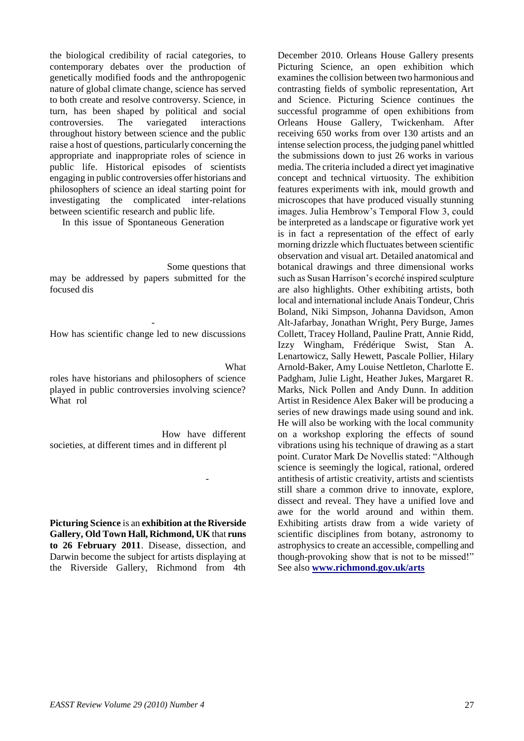the biological credibility of racial categories, to contemporary debates over the production of genetically modified foods and the anthropogenic nature of global climate change, science has served to both create and resolve controversy. Science, in turn, has been shaped by political and social controversies. The variegated interactions throughout history between science and the public raise a host of questions, particularly concerning the appropriate and inappropriate roles of science in public life. Historical episodes of scientists engaging in public controversies offer historians and philosophers of science an ideal starting point for investigating the complicated inter-relations between scientific research and public life.

In this issue of Spontaneous Generation

Some questions that may be addressed by papers submitted for the focused dis

- How has scientific change led to new discussions

What

-

roles have historians and philosophers of science played in public controversies involving science? What rol

How have different societies, at different times and in different pl

**Picturing Science** is an **exhibition at the Riverside Gallery, Old Town Hall, Richmond, UK** that **runs to 26 February 2011**. Disease, dissection, and Darwin become the subject for artists displaying at the Riverside Gallery, Richmond from 4th

December 2010. Orleans House Gallery presents Picturing Science, an open exhibition which examines the collision between two harmonious and contrasting fields of symbolic representation, Art and Science. Picturing Science continues the successful programme of open exhibitions from Orleans House Gallery, Twickenham. After receiving 650 works from over 130 artists and an intense selection process, the judging panel whittled the submissions down to just 26 works in various media. The criteria included a direct yet imaginative concept and technical virtuosity. The exhibition features experiments with ink, mould growth and microscopes that have produced visually stunning images. Julia Hembrow"s Temporal Flow 3, could be interpreted as a landscape or figurative work yet is in fact a representation of the effect of early morning drizzle which fluctuates between scientific observation and visual art. Detailed anatomical and botanical drawings and three dimensional works such as Susan Harrison"s ecorché inspired sculpture are also highlights. Other exhibiting artists, both local and international include Anais Tondeur, Chris Boland, Niki Simpson, Johanna Davidson, Amon Alt-Jafarbay, Jonathan Wright, Pery Burge, James Collett, Tracey Holland, Pauline Pratt, Annie Ridd, Izzy Wingham, Frédérique Swist, Stan A. Lenartowicz, Sally Hewett, Pascale Pollier, Hilary Arnold-Baker, Amy Louise Nettleton, Charlotte E. Padgham, Julie Light, Heather Jukes, Margaret R. Marks, Nick Pollen and Andy Dunn. In addition Artist in Residence Alex Baker will be producing a series of new drawings made using sound and ink. He will also be working with the local community on a workshop exploring the effects of sound vibrations using his technique of drawing as a start point. Curator Mark De Novellis stated: "Although science is seemingly the logical, rational, ordered antithesis of artistic creativity, artists and scientists still share a common drive to innovate, explore, dissect and reveal. They have a unified love and awe for the world around and within them. Exhibiting artists draw from a wide variety of scientific disciplines from botany, astronomy to astrophysics to create an accessible, compelling and though-provoking show that is not to be missed!" See also **[www.richmond.gov.uk/arts](http://www.richmond.gov.uk/arts)**